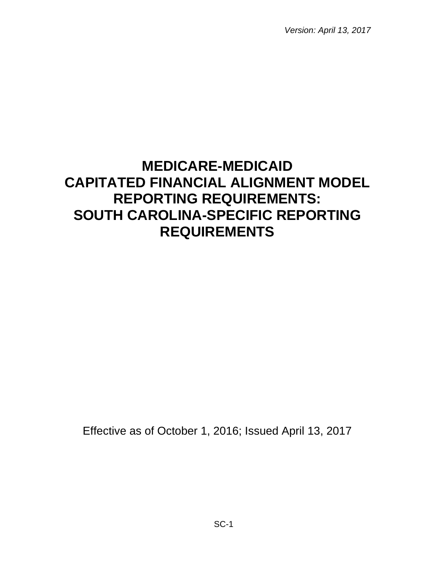*Version: April 13, 2017*

# **MEDICARE-MEDICAID CAPITATED FINANCIAL ALIGNMENT MODEL REPORTING REQUIREMENTS: SOUTH CAROLINA-SPECIFIC REPORTING REQUIREMENTS**

Effective as of October 1, 2016; Issued April 13, 2017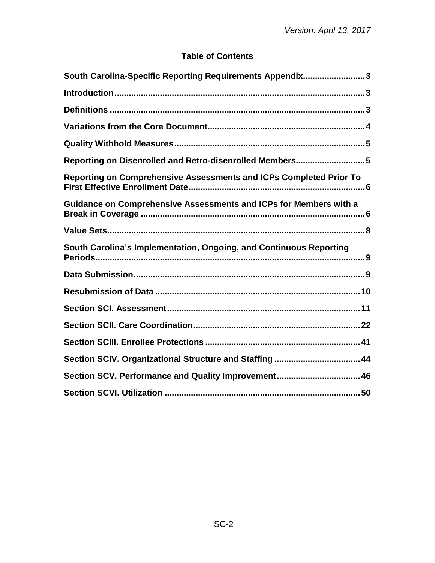# **Table of Contents**

| South Carolina-Specific Reporting Requirements Appendix3           |
|--------------------------------------------------------------------|
|                                                                    |
|                                                                    |
|                                                                    |
|                                                                    |
| Reporting on Disenrolled and Retro-disenrolled Members5            |
| Reporting on Comprehensive Assessments and ICPs Completed Prior To |
| Guidance on Comprehensive Assessments and ICPs for Members with a  |
|                                                                    |
| South Carolina's Implementation, Ongoing, and Continuous Reporting |
|                                                                    |
|                                                                    |
|                                                                    |
|                                                                    |
|                                                                    |
| Section SCIV. Organizational Structure and Staffing  44            |
| Section SCV. Performance and Quality Improvement 46                |
|                                                                    |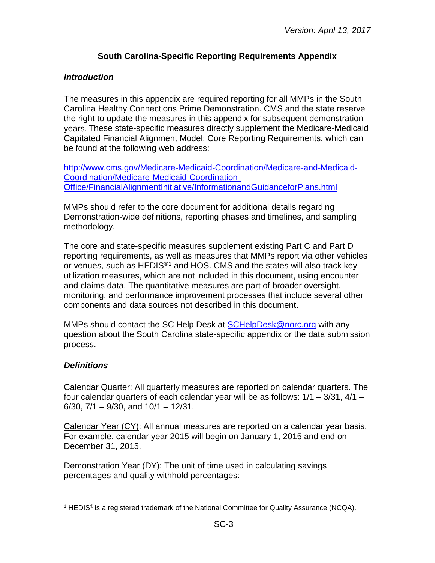# **South Carolina-Specific Reporting Requirements Appendix**

## <span id="page-2-1"></span><span id="page-2-0"></span>*Introduction*

The measures in this appendix are required reporting for all MMPs in the South Carolina Healthy Connections Prime Demonstration. CMS and the state reserve the right to update the measures in this appendix for subsequent demonstration years. These state-specific measures directly supplement the Medicare-Medicaid Capitated Financial Alignment Model: Core Reporting Requirements, which can be found at the following web address:

[http://www.cms.gov/Medicare-Medicaid-Coordination/Medicare-and-Medicaid-](http://www.cms.gov/Medicare-Medicaid-Coordination/Medicare-and-Medicaid-Coordination/Medicare-Medicaid-Coordination-Office/FinancialAlignmentInitiative/InformationandGuidanceforPlans.html)[Coordination/Medicare-Medicaid-Coordination-](http://www.cms.gov/Medicare-Medicaid-Coordination/Medicare-and-Medicaid-Coordination/Medicare-Medicaid-Coordination-Office/FinancialAlignmentInitiative/InformationandGuidanceforPlans.html)[Office/FinancialAlignmentInitiative/InformationandGuidanceforPlans.html](http://www.cms.gov/Medicare-Medicaid-Coordination/Medicare-and-Medicaid-Coordination/Medicare-Medicaid-Coordination-Office/FinancialAlignmentInitiative/InformationandGuidanceforPlans.html)

MMPs should refer to the core document for additional details regarding Demonstration-wide definitions, reporting phases and timelines, and sampling methodology.

The core and state-specific measures supplement existing Part C and Part D reporting requirements, as well as measures that MMPs report via other vehicles or venues, such as HEDIS<sup>®[1](#page-2-3)</sup> and HOS. CMS and the states will also track key utilization measures, which are not included in this document, using encounter and claims data. The quantitative measures are part of broader oversight, monitoring, and performance improvement processes that include several other components and data sources not described in this document.

MMPs should contact the SC Help Desk at [SCHelpDesk@norc.org](mailto:SCHelpDesk@norc.org) with any question about the South Carolina state-specific appendix or the data submission process.

## <span id="page-2-2"></span>*Definitions*

Calendar Quarter: All quarterly measures are reported on calendar quarters. The four calendar quarters of each calendar year will be as follows:  $1/1 - 3/31$ ,  $4/1 6/30$ ,  $7/1 - 9/30$ , and  $10/1 - 12/31$ .

Calendar Year (CY): All annual measures are reported on a calendar year basis. For example, calendar year 2015 will begin on January 1, 2015 and end on December 31, 2015.

Demonstration Year (DY): The unit of time used in calculating savings percentages and quality withhold percentages:

<span id="page-2-3"></span><sup>&</sup>lt;sup>1</sup> HEDIS<sup>®</sup> is a registered trademark of the National Committee for Quality Assurance (NCQA).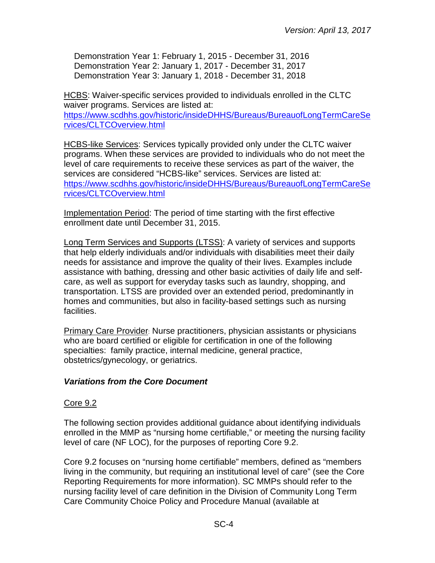Demonstration Year 1: February 1, 2015 - December 31, 2016 Demonstration Year 2: January 1, 2017 - December 31, 2017 Demonstration Year 3: January 1, 2018 - December 31, 2018

HCBS: Waiver-specific services provided to individuals enrolled in the CLTC waiver programs. Services are listed at: [https://www.scdhhs.gov/historic/insideDHHS/Bureaus/BureauofLongTermCareSe](https://www.scdhhs.gov/historic/insideDHHS/Bureaus/BureauofLongTermCareServices/CLTCOverview.html) [rvices/CLTCOverview.html](https://www.scdhhs.gov/historic/insideDHHS/Bureaus/BureauofLongTermCareServices/CLTCOverview.html)

HCBS-like Services: Services typically provided only under the CLTC waiver programs. When these services are provided to individuals who do not meet the level of care requirements to receive these services as part of the waiver, the services are considered "HCBS-like" services. Services are listed at: [https://www.scdhhs.gov/historic/insideDHHS/Bureaus/BureauofLongTermCareSe](https://www.scdhhs.gov/historic/insideDHHS/Bureaus/BureauofLongTermCareServices/CLTCOverview.html) [rvices/CLTCOverview.html](https://www.scdhhs.gov/historic/insideDHHS/Bureaus/BureauofLongTermCareServices/CLTCOverview.html)

Implementation Period: The period of time starting with the first effective enrollment date until December 31, 2015.

Long Term Services and Supports (LTSS): A variety of services and supports that help elderly individuals and/or individuals with disabilities meet their daily needs for assistance and improve the quality of their lives. Examples include assistance with bathing, dressing and other basic activities of daily life and selfcare, as well as support for everyday tasks such as laundry, shopping, and transportation. LTSS are provided over an extended period, predominantly in homes and communities, but also in facility-based settings such as nursing facilities.

Primary Care Provider: Nurse practitioners, physician assistants or physicians who are board certified or eligible for certification in one of the following specialties: family practice, internal medicine, general practice, obstetrics/gynecology, or geriatrics.

## <span id="page-3-0"></span>*Variations from the Core Document*

#### Core 9.2

The following section provides additional guidance about identifying individuals enrolled in the MMP as "nursing home certifiable," or meeting the nursing facility level of care (NF LOC), for the purposes of reporting Core 9.2.

Core 9.2 focuses on "nursing home certifiable" members, defined as "members living in the community, but requiring an institutional level of care" (see the Core Reporting Requirements for more information). SC MMPs should refer to the nursing facility level of care definition in the Division of Community Long Term Care Community Choice Policy and Procedure Manual (available at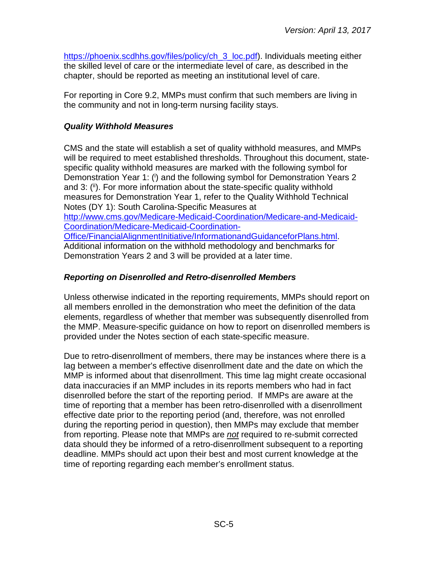[https://phoenix.scdhhs.gov/files/policy/ch\\_3\\_loc.pdf\)](https://phoenix.scdhhs.gov/files/policy/ch_3_loc.pdf). Individuals meeting either the skilled level of care or the intermediate level of care, as described in the chapter, should be reported as meeting an institutional level of care.

For reporting in Core 9.2, MMPs must confirm that such members are living in the community and not in long-term nursing facility stays.

# <span id="page-4-0"></span>*Quality Withhold Measures*

CMS and the state will establish a set of quality withhold measures, and MMPs will be required to meet established thresholds. Throughout this document, statespecific quality withhold measures are marked with the following symbol for Demonstration Year 1: (i) and the following symbol for Demonstration Years 2 and 3: (ii). For more information about the state-specific quality withhold measures for Demonstration Year 1, refer to the Quality Withhold Technical Notes (DY 1): South Carolina-Specific Measures at [http://www.cms.gov/Medicare-Medicaid-Coordination/Medicare-and-Medicaid-](http://www.cms.gov/Medicare-Medicaid-Coordination/Medicare-and-Medicaid-Coordination/Medicare-Medicaid-Coordination-Office/FinancialAlignmentInitiative/InformationandGuidanceforPlans.html)[Coordination/Medicare-Medicaid-Coordination-](http://www.cms.gov/Medicare-Medicaid-Coordination/Medicare-and-Medicaid-Coordination/Medicare-Medicaid-Coordination-Office/FinancialAlignmentInitiative/InformationandGuidanceforPlans.html)[Office/FinancialAlignmentInitiative/InformationandGuidanceforPlans.html.](http://www.cms.gov/Medicare-Medicaid-Coordination/Medicare-and-Medicaid-Coordination/Medicare-Medicaid-Coordination-Office/FinancialAlignmentInitiative/InformationandGuidanceforPlans.html) Additional information on the withhold methodology and benchmarks for Demonstration Years 2 and 3 will be provided at a later time.

# <span id="page-4-1"></span>*Reporting on Disenrolled and Retro-disenrolled Members*

Unless otherwise indicated in the reporting requirements, MMPs should report on all members enrolled in the demonstration who meet the definition of the data elements, regardless of whether that member was subsequently disenrolled from the MMP. Measure-specific guidance on how to report on disenrolled members is provided under the Notes section of each state-specific measure.

Due to retro-disenrollment of members, there may be instances where there is a lag between a member's effective disenrollment date and the date on which the MMP is informed about that disenrollment. This time lag might create occasional data inaccuracies if an MMP includes in its reports members who had in fact disenrolled before the start of the reporting period. If MMPs are aware at the time of reporting that a member has been retro-disenrolled with a disenrollment effective date prior to the reporting period (and, therefore, was not enrolled during the reporting period in question), then MMPs may exclude that member from reporting. Please note that MMPs are *not* required to re-submit corrected data should they be informed of a retro-disenrollment subsequent to a reporting deadline. MMPs should act upon their best and most current knowledge at the time of reporting regarding each member's enrollment status.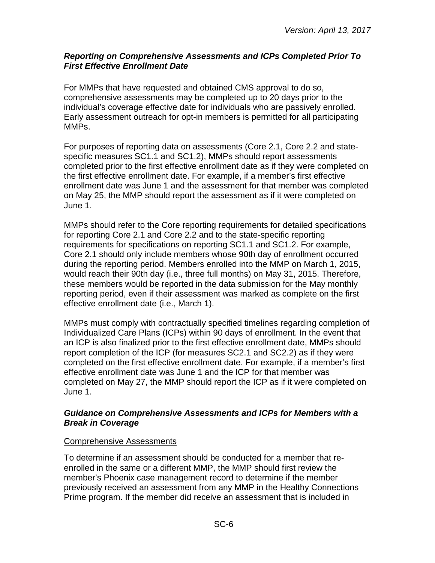#### <span id="page-5-0"></span>*Reporting on Comprehensive Assessments and ICPs Completed Prior To First Effective Enrollment Date*

For MMPs that have requested and obtained CMS approval to do so, comprehensive assessments may be completed up to 20 days prior to the individual's coverage effective date for individuals who are passively enrolled. Early assessment outreach for opt-in members is permitted for all participating MMPs.

For purposes of reporting data on assessments (Core 2.1, Core 2.2 and statespecific measures SC1.1 and SC1.2), MMPs should report assessments completed prior to the first effective enrollment date as if they were completed on the first effective enrollment date. For example, if a member's first effective enrollment date was June 1 and the assessment for that member was completed on May 25, the MMP should report the assessment as if it were completed on June 1.

MMPs should refer to the Core reporting requirements for detailed specifications for reporting Core 2.1 and Core 2.2 and to the state-specific reporting requirements for specifications on reporting SC1.1 and SC1.2. For example, Core 2.1 should only include members whose 90th day of enrollment occurred during the reporting period. Members enrolled into the MMP on March 1, 2015, would reach their 90th day (i.e., three full months) on May 31, 2015. Therefore, these members would be reported in the data submission for the May monthly reporting period, even if their assessment was marked as complete on the first effective enrollment date (i.e., March 1).

MMPs must comply with contractually specified timelines regarding completion of Individualized Care Plans (ICPs) within 90 days of enrollment. In the event that an ICP is also finalized prior to the first effective enrollment date, MMPs should report completion of the ICP (for measures SC2.1 and SC2.2) as if they were completed on the first effective enrollment date. For example, if a member's first effective enrollment date was June 1 and the ICP for that member was completed on May 27, the MMP should report the ICP as if it were completed on June 1.

#### <span id="page-5-1"></span>*Guidance on Comprehensive Assessments and ICPs for Members with a Break in Coverage*

#### Comprehensive Assessments

To determine if an assessment should be conducted for a member that reenrolled in the same or a different MMP, the MMP should first review the member's Phoenix case management record to determine if the member previously received an assessment from any MMP in the Healthy Connections Prime program. If the member did receive an assessment that is included in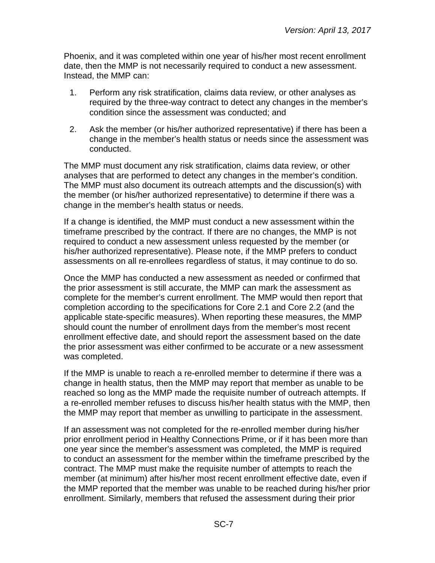Phoenix, and it was completed within one year of his/her most recent enrollment date, then the MMP is not necessarily required to conduct a new assessment. Instead, the MMP can:

- 1. Perform any risk stratification, claims data review, or other analyses as required by the three-way contract to detect any changes in the member's condition since the assessment was conducted; and
- 2. Ask the member (or his/her authorized representative) if there has been a change in the member's health status or needs since the assessment was conducted.

The MMP must document any risk stratification, claims data review, or other analyses that are performed to detect any changes in the member's condition. The MMP must also document its outreach attempts and the discussion(s) with the member (or his/her authorized representative) to determine if there was a change in the member's health status or needs.

If a change is identified, the MMP must conduct a new assessment within the timeframe prescribed by the contract. If there are no changes, the MMP is not required to conduct a new assessment unless requested by the member (or his/her authorized representative). Please note, if the MMP prefers to conduct assessments on all re-enrollees regardless of status, it may continue to do so.

Once the MMP has conducted a new assessment as needed or confirmed that the prior assessment is still accurate, the MMP can mark the assessment as complete for the member's current enrollment. The MMP would then report that completion according to the specifications for Core 2.1 and Core 2.2 (and the applicable state-specific measures). When reporting these measures, the MMP should count the number of enrollment days from the member's most recent enrollment effective date, and should report the assessment based on the date the prior assessment was either confirmed to be accurate or a new assessment was completed.

If the MMP is unable to reach a re-enrolled member to determine if there was a change in health status, then the MMP may report that member as unable to be reached so long as the MMP made the requisite number of outreach attempts. If a re-enrolled member refuses to discuss his/her health status with the MMP, then the MMP may report that member as unwilling to participate in the assessment.

If an assessment was not completed for the re-enrolled member during his/her prior enrollment period in Healthy Connections Prime, or if it has been more than one year since the member's assessment was completed, the MMP is required to conduct an assessment for the member within the timeframe prescribed by the contract. The MMP must make the requisite number of attempts to reach the member (at minimum) after his/her most recent enrollment effective date, even if the MMP reported that the member was unable to be reached during his/her prior enrollment. Similarly, members that refused the assessment during their prior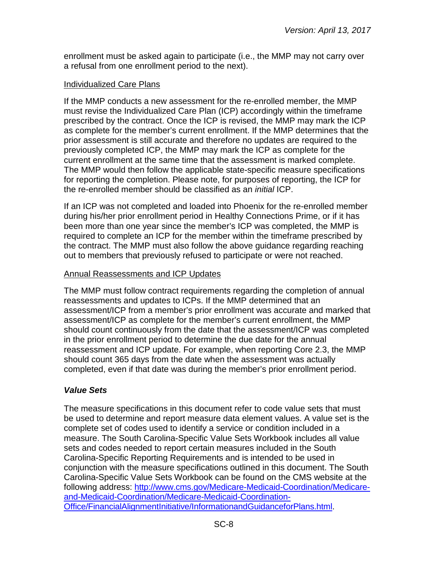enrollment must be asked again to participate (i.e., the MMP may not carry over a refusal from one enrollment period to the next).

# Individualized Care Plans

If the MMP conducts a new assessment for the re-enrolled member, the MMP must revise the Individualized Care Plan (ICP) accordingly within the timeframe prescribed by the contract. Once the ICP is revised, the MMP may mark the ICP as complete for the member's current enrollment. If the MMP determines that the prior assessment is still accurate and therefore no updates are required to the previously completed ICP, the MMP may mark the ICP as complete for the current enrollment at the same time that the assessment is marked complete. The MMP would then follow the applicable state-specific measure specifications for reporting the completion. Please note, for purposes of reporting, the ICP for the re-enrolled member should be classified as an *initial* ICP.

If an ICP was not completed and loaded into Phoenix for the re-enrolled member during his/her prior enrollment period in Healthy Connections Prime, or if it has been more than one year since the member's ICP was completed, the MMP is required to complete an ICP for the member within the timeframe prescribed by the contract. The MMP must also follow the above guidance regarding reaching out to members that previously refused to participate or were not reached.

## Annual Reassessments and ICP Updates

The MMP must follow contract requirements regarding the completion of annual reassessments and updates to ICPs. If the MMP determined that an assessment/ICP from a member's prior enrollment was accurate and marked that assessment/ICP as complete for the member's current enrollment, the MMP should count continuously from the date that the assessment/ICP was completed in the prior enrollment period to determine the due date for the annual reassessment and ICP update. For example, when reporting Core 2.3, the MMP should count 365 days from the date when the assessment was actually completed, even if that date was during the member's prior enrollment period.

# <span id="page-7-0"></span>*Value Sets*

The measure specifications in this document refer to code value sets that must be used to determine and report measure data element values. A value set is the complete set of codes used to identify a service or condition included in a measure. The South Carolina-Specific Value Sets Workbook includes all value sets and codes needed to report certain measures included in the South Carolina-Specific Reporting Requirements and is intended to be used in conjunction with the measure specifications outlined in this document. The South Carolina-Specific Value Sets Workbook can be found on the CMS website at the following address: [http://www.cms.gov/Medicare-Medicaid-Coordination/Medicare](http://www.cms.gov/Medicare-Medicaid-Coordination/Medicare-and-Medicaid-Coordination/Medicare-Medicaid-Coordination-Office/FinancialAlignmentInitiative/InformationandGuidanceforPlans.html)[and-Medicaid-Coordination/Medicare-Medicaid-Coordination-](http://www.cms.gov/Medicare-Medicaid-Coordination/Medicare-and-Medicaid-Coordination/Medicare-Medicaid-Coordination-Office/FinancialAlignmentInitiative/InformationandGuidanceforPlans.html)[Office/FinancialAlignmentInitiative/InformationandGuidanceforPlans.html.](http://www.cms.gov/Medicare-Medicaid-Coordination/Medicare-and-Medicaid-Coordination/Medicare-Medicaid-Coordination-Office/FinancialAlignmentInitiative/InformationandGuidanceforPlans.html)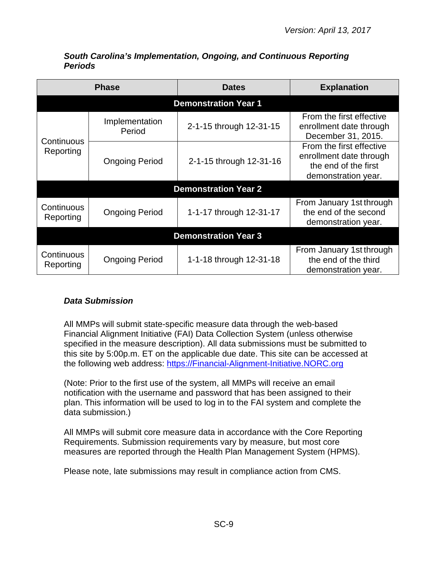| <b>Phase</b>                |                          | <b>Dates</b>                | <b>Explanation</b>                                                                                 |
|-----------------------------|--------------------------|-----------------------------|----------------------------------------------------------------------------------------------------|
|                             |                          | <b>Demonstration Year 1</b> |                                                                                                    |
|                             | Implementation<br>Period | 2-1-15 through 12-31-15     | From the first effective<br>enrollment date through<br>December 31, 2015.                          |
| Continuous<br>Reporting     | <b>Ongoing Period</b>    | 2-1-15 through 12-31-16     | From the first effective<br>enrollment date through<br>the end of the first<br>demonstration year. |
|                             |                          | <b>Demonstration Year 2</b> |                                                                                                    |
| Continuous<br>Reporting     | <b>Ongoing Period</b>    | 1-1-17 through 12-31-17     | From January 1st through<br>the end of the second<br>demonstration year.                           |
| <b>Demonstration Year 3</b> |                          |                             |                                                                                                    |
| Continuous<br>Reporting     | <b>Ongoing Period</b>    | 1-1-18 through 12-31-18     | From January 1st through<br>the end of the third<br>demonstration year.                            |

#### <span id="page-8-0"></span>*South Carolina's Implementation, Ongoing, and Continuous Reporting Periods*

# <span id="page-8-1"></span>*Data Submission*

All MMPs will submit state-specific measure data through the web-based Financial Alignment Initiative (FAI) Data Collection System (unless otherwise specified in the measure description). All data submissions must be submitted to this site by 5:00p.m. ET on the applicable due date. This site can be accessed at the following web address: [https://Financial-Alignment-Initiative.NORC.org](https://financial-alignment-initiative.norc.org/)

(Note: Prior to the first use of the system, all MMPs will receive an email notification with the username and password that has been assigned to their plan. This information will be used to log in to the FAI system and complete the data submission.)

All MMPs will submit core measure data in accordance with the Core Reporting Requirements. Submission requirements vary by measure, but most core measures are reported through the Health Plan Management System (HPMS).

Please note, late submissions may result in compliance action from CMS.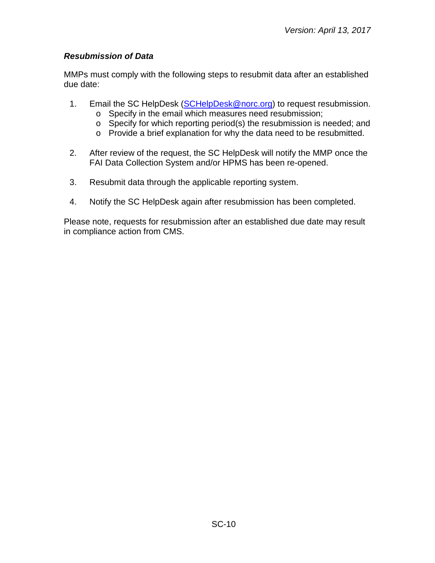# <span id="page-9-0"></span>*Resubmission of Data*

MMPs must comply with the following steps to resubmit data after an established due date:

- 1. Email the SC HelpDesk [\(SCHelpDesk@norc.org\)](mailto:SCHelpDesk@norc.org) to request resubmission.
	- o Specify in the email which measures need resubmission;
	- o Specify for which reporting period(s) the resubmission is needed; and
	- o Provide a brief explanation for why the data need to be resubmitted.
- 2. After review of the request, the SC HelpDesk will notify the MMP once the FAI Data Collection System and/or HPMS has been re-opened.
- 3. Resubmit data through the applicable reporting system.
- 4. Notify the SC HelpDesk again after resubmission has been completed.

Please note, requests for resubmission after an established due date may result in compliance action from CMS.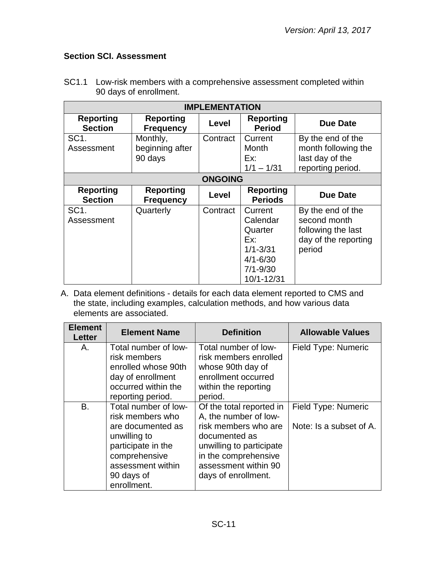# <span id="page-10-0"></span>**Section SCI. Assessment**

| <b>IMPLEMENTATION</b>              |                                        |          |                                                                                                     |                                                                                           |  |
|------------------------------------|----------------------------------------|----------|-----------------------------------------------------------------------------------------------------|-------------------------------------------------------------------------------------------|--|
| <b>Reporting</b><br><b>Section</b> | <b>Reporting</b><br><b>Frequency</b>   | Level    | <b>Reporting</b><br><b>Period</b>                                                                   | <b>Due Date</b>                                                                           |  |
| SC <sub>1</sub> .<br>Assessment    | Monthly,<br>beginning after<br>90 days | Contract | Current<br>Month<br>Ex:<br>$1/1 - 1/31$                                                             | By the end of the<br>month following the<br>last day of the<br>reporting period.          |  |
|                                    | <b>ONGOING</b>                         |          |                                                                                                     |                                                                                           |  |
| <b>Reporting</b><br><b>Section</b> | <b>Reporting</b><br><b>Frequency</b>   | Level    | <b>Reporting</b><br><b>Periods</b>                                                                  | <b>Due Date</b>                                                                           |  |
| SC <sub>1</sub> .<br>Assessment    | Quarterly                              | Contract | Current<br>Calendar<br>Quarter<br>Ex:<br>$1/1 - 3/31$<br>$4/1 - 6/30$<br>$7/1 - 9/30$<br>10/1-12/31 | By the end of the<br>second month<br>following the last<br>day of the reporting<br>period |  |

SC1.1 Low-risk members with a comprehensive assessment completed within 90 days of enrollment.

| <b>Element</b><br><b>Letter</b> | <b>Element Name</b>                                                                                                                                                    | <b>Definition</b>                                                                                                                                                                             | <b>Allowable Values</b>                        |
|---------------------------------|------------------------------------------------------------------------------------------------------------------------------------------------------------------------|-----------------------------------------------------------------------------------------------------------------------------------------------------------------------------------------------|------------------------------------------------|
| Α.                              | Total number of low-<br>risk members<br>enrolled whose 90th<br>day of enrollment<br>occurred within the<br>reporting period.                                           | Total number of low-<br>risk members enrolled<br>whose 90th day of<br>enrollment occurred<br>within the reporting<br>period.                                                                  | Field Type: Numeric                            |
| B.                              | Total number of low-<br>risk members who<br>are documented as<br>unwilling to<br>participate in the<br>comprehensive<br>assessment within<br>90 days of<br>enrollment. | Of the total reported in<br>A, the number of low-<br>risk members who are<br>documented as<br>unwilling to participate<br>in the comprehensive<br>assessment within 90<br>days of enrollment. | Field Type: Numeric<br>Note: Is a subset of A. |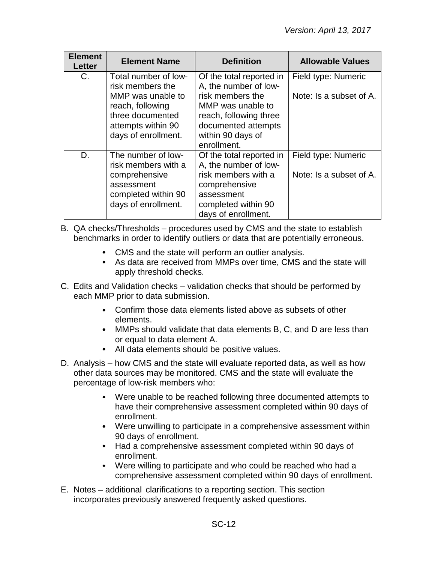| <b>Element</b><br><b>Letter</b> | <b>Element Name</b>                                                                                                                                | <b>Definition</b>                                                                                                                                                               | <b>Allowable Values</b>                        |
|---------------------------------|----------------------------------------------------------------------------------------------------------------------------------------------------|---------------------------------------------------------------------------------------------------------------------------------------------------------------------------------|------------------------------------------------|
| C.                              | Total number of low-<br>risk members the<br>MMP was unable to<br>reach, following<br>three documented<br>attempts within 90<br>days of enrollment. | Of the total reported in<br>A, the number of low-<br>risk members the<br>MMP was unable to<br>reach, following three<br>documented attempts<br>within 90 days of<br>enrollment. | Field type: Numeric<br>Note: Is a subset of A. |
| D.                              | The number of low-<br>risk members with a<br>comprehensive<br>assessment<br>completed within 90<br>days of enrollment.                             | Of the total reported in<br>A, the number of low-<br>risk members with a<br>comprehensive<br>assessment<br>completed within 90<br>days of enrollment.                           | Field type: Numeric<br>Note: Is a subset of A. |

- B. QA checks/Thresholds procedures used by CMS and the state to establish benchmarks in order to identify outliers or data that are potentially erroneous.
	- CMS and the state will perform an outlier analysis.
	- As data are received from MMPs over time, CMS and the state will apply threshold checks.
- C. Edits and Validation checks validation checks that should be performed by each MMP prior to data submission.
	- Confirm those data elements listed above as subsets of other elements.
	- MMPs should validate that data elements B, C, and D are less than or equal to data element A.
	- All data elements should be positive values.
- D. Analysis how CMS and the state will evaluate reported data, as well as how other data sources may be monitored. CMS and the state will evaluate the percentage of low-risk members who:
	- Were unable to be reached following three documented attempts to have their comprehensive assessment completed within 90 days of enrollment.
	- Were unwilling to participate in a comprehensive assessment within 90 days of enrollment.
	- Had a comprehensive assessment completed within 90 days of enrollment.
	- Were willing to participate and who could be reached who had a comprehensive assessment completed within 90 days of enrollment.
- E. Notes additional clarifications to a reporting section. This section incorporates previously answered frequently asked questions.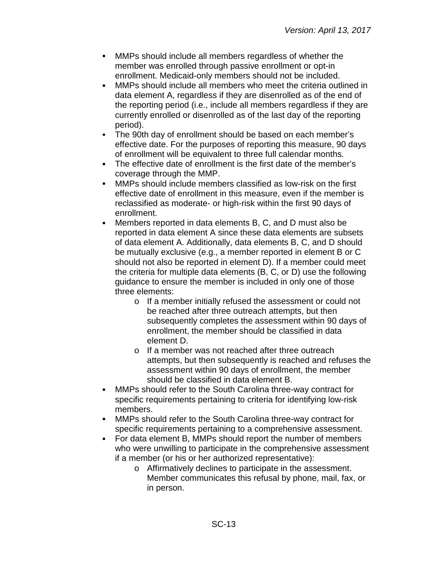- $\bullet$ MMPs should include all members regardless of whether the member was enrolled through passive enrollment or opt-in enrollment. Medicaid-only members should not be included.
- MMPs should include all members who meet the criteria outlined in  $\bullet$ data element A, regardless if they are disenrolled as of the end of the reporting period (i.e., include all members regardless if they are currently enrolled or disenrolled as of the last day of the reporting period).
- The 90th day of enrollment should be based on each member's  $\bullet$ effective date. For the purposes of reporting this measure, 90 days of enrollment will be equivalent to three full calendar months.
- $\bullet$ The effective date of enrollment is the first date of the member's coverage through the MMP.
- $\bullet$ MMPs should include members classified as low-risk on the first effective date of enrollment in this measure, even if the member is reclassified as moderate- or high-risk within the first 90 days of enrollment.
- $\bullet$ Members reported in data elements B, C, and D must also be reported in data element A since these data elements are subsets of data element A. Additionally, data elements B, C, and D should be mutually exclusive (e.g., a member reported in element B or C should not also be reported in element D). If a member could meet the criteria for multiple data elements (B, C, or D) use the following guidance to ensure the member is included in only one of those three elements:
	- o If a member initially refused the assessment or could not be reached after three outreach attempts, but then subsequently completes the assessment within 90 days of enrollment, the member should be classified in data element D.
	- o If a member was not reached after three outreach attempts, but then subsequently is reached and refuses the assessment within 90 days of enrollment, the member should be classified in data element B.
- MMPs should refer to the South Carolina three-way contract for  $\bullet$ specific requirements pertaining to criteria for identifying low-risk members.
- $\bullet$ MMPs should refer to the South Carolina three-way contract for specific requirements pertaining to a comprehensive assessment.
- $\bullet$ For data element B, MMPs should report the number of members who were unwilling to participate in the comprehensive assessment if a member (or his or her authorized representative):
	- o Affirmatively declines to participate in the assessment. Member communicates this refusal by phone, mail, fax, or in person.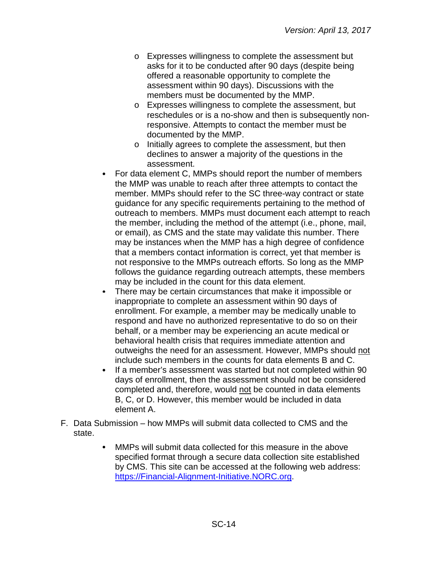- o Expresses willingness to complete the assessment but asks for it to be conducted after 90 days (despite being offered a reasonable opportunity to complete the assessment within 90 days). Discussions with the members must be documented by the MMP.
- o Expresses willingness to complete the assessment, but reschedules or is a no-show and then is subsequently nonresponsive. Attempts to contact the member must be documented by the MMP.
- o Initially agrees to complete the assessment, but then declines to answer a majority of the questions in the assessment.
- For data element C, MMPs should report the number of members the MMP was unable to reach after three attempts to contact the member. MMPs should refer to the SC three-way contract or state guidance for any specific requirements pertaining to the method of outreach to members. MMPs must document each attempt to reach the member, including the method of the attempt (i.e., phone, mail, or email), as CMS and the state may validate this number. There may be instances when the MMP has a high degree of confidence that a members contact information is correct, yet that member is not responsive to the MMPs outreach efforts. So long as the MMP follows the guidance regarding outreach attempts, these members may be included in the count for this data element.
- There may be certain circumstances that make it impossible or inappropriate to complete an assessment within 90 days of enrollment. For example, a member may be medically unable to respond and have no authorized representative to do so on their behalf, or a member may be experiencing an acute medical or behavioral health crisis that requires immediate attention and outweighs the need for an assessment. However, MMPs should not include such members in the counts for data elements B and C.
- $\bullet$ If a member's assessment was started but not completed within 90 days of enrollment, then the assessment should not be considered completed and, therefore, would not be counted in data elements B, C, or D. However, this member would be included in data element A.
- F. Data Submission how MMPs will submit data collected to CMS and the state.
	- MMPs will submit data collected for this measure in the above  $\bullet$ specified format through a secure data collection site established by CMS. This site can be accessed at the following web address: [https://Financial-Alignment-Initiative.NORC.org.](https://financial-alignment-initiative.norc.org/)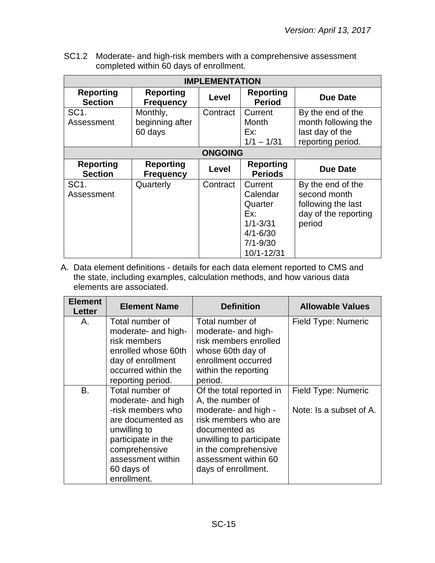SC1.2 Moderate- and high-risk members with a comprehensive assessment completed within 60 days of enrollment.

| <b>IMPLEMENTATION</b>              |                                        |          |                                                                                                     |                                                                                           |  |
|------------------------------------|----------------------------------------|----------|-----------------------------------------------------------------------------------------------------|-------------------------------------------------------------------------------------------|--|
| <b>Reporting</b><br><b>Section</b> | <b>Reporting</b><br><b>Frequency</b>   | Level    | <b>Reporting</b><br><b>Period</b>                                                                   | Due Date                                                                                  |  |
| SC <sub>1</sub> .<br>Assessment    | Monthly,<br>beginning after<br>60 days | Contract | Current<br>Month<br>Ex:<br>$1/1 - 1/31$                                                             | By the end of the<br>month following the<br>last day of the<br>reporting period.          |  |
|                                    | <b>ONGOING</b>                         |          |                                                                                                     |                                                                                           |  |
| <b>Reporting</b><br><b>Section</b> | <b>Reporting</b><br><b>Frequency</b>   | Level    | <b>Reporting</b><br><b>Periods</b>                                                                  | <b>Due Date</b>                                                                           |  |
| SC <sub>1</sub> .<br>Assessment    | Quarterly                              | Contract | Current<br>Calendar<br>Quarter<br>Ex:<br>$1/1 - 3/31$<br>$4/1 - 6/30$<br>$7/1 - 9/30$<br>10/1-12/31 | By the end of the<br>second month<br>following the last<br>day of the reporting<br>period |  |

| <b>Element</b><br>Letter | <b>Element Name</b>                                                                                                                                                                      | <b>Definition</b>                                                                                                                                                                                                | <b>Allowable Values</b>                        |
|--------------------------|------------------------------------------------------------------------------------------------------------------------------------------------------------------------------------------|------------------------------------------------------------------------------------------------------------------------------------------------------------------------------------------------------------------|------------------------------------------------|
| Α.                       | Total number of<br>moderate- and high-<br>risk members<br>enrolled whose 60th<br>day of enrollment<br>occurred within the<br>reporting period.                                           | Total number of<br>moderate- and high-<br>risk members enrolled<br>whose 60th day of<br>enrollment occurred<br>within the reporting<br>period.                                                                   | Field Type: Numeric                            |
| В.                       | Total number of<br>moderate- and high<br>-risk members who<br>are documented as<br>unwilling to<br>participate in the<br>comprehensive<br>assessment within<br>60 days of<br>enrollment. | Of the total reported in<br>A, the number of<br>moderate- and high -<br>risk members who are<br>documented as<br>unwilling to participate<br>in the comprehensive<br>assessment within 60<br>days of enrollment. | Field Type: Numeric<br>Note: Is a subset of A. |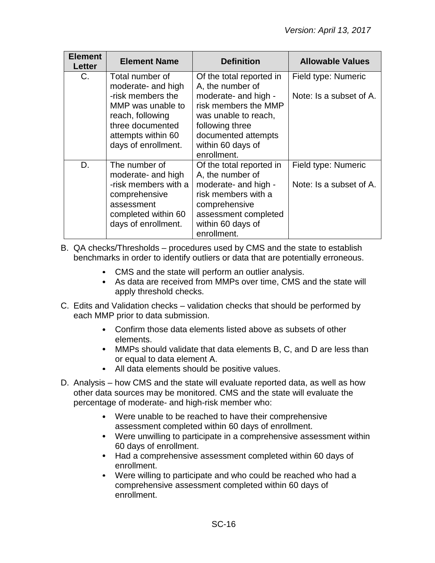| <b>Element</b><br>Letter | <b>Element Name</b>                                                                                                                                                  | <b>Definition</b>                                                                                                                                                                                  | <b>Allowable Values</b>                        |
|--------------------------|----------------------------------------------------------------------------------------------------------------------------------------------------------------------|----------------------------------------------------------------------------------------------------------------------------------------------------------------------------------------------------|------------------------------------------------|
| $C_{\cdot}$              | Total number of<br>moderate- and high<br>-risk members the<br>MMP was unable to<br>reach, following<br>three documented<br>attempts within 60<br>days of enrollment. | Of the total reported in<br>A, the number of<br>moderate- and high -<br>risk members the MMP<br>was unable to reach,<br>following three<br>documented attempts<br>within 60 days of<br>enrollment. | Field type: Numeric<br>Note: Is a subset of A. |
| D.                       | The number of<br>moderate- and high<br>-risk members with a<br>comprehensive<br>assessment<br>completed within 60<br>days of enrollment.                             | Of the total reported in<br>A, the number of<br>moderate- and high -<br>risk members with a<br>comprehensive<br>assessment completed<br>within 60 days of<br>enrollment.                           | Field type: Numeric<br>Note: Is a subset of A. |

- B. QA checks/Thresholds procedures used by CMS and the state to establish benchmarks in order to identify outliers or data that are potentially erroneous.
	- CMS and the state will perform an outlier analysis.
	- As data are received from MMPs over time, CMS and the state will apply threshold checks.
- C. Edits and Validation checks validation checks that should be performed by each MMP prior to data submission.
	- Confirm those data elements listed above as subsets of other elements.
	- MMPs should validate that data elements B, C, and D are less than or equal to data element A.
	- All data elements should be positive values.
- D. Analysis how CMS and the state will evaluate reported data, as well as how other data sources may be monitored. CMS and the state will evaluate the percentage of moderate- and high-risk member who:
	- Were unable to be reached to have their comprehensive assessment completed within 60 days of enrollment.
	- Were unwilling to participate in a comprehensive assessment within 60 days of enrollment.
	- Had a comprehensive assessment completed within 60 days of enrollment.
	- $\bullet$ Were willing to participate and who could be reached who had a comprehensive assessment completed within 60 days of enrollment.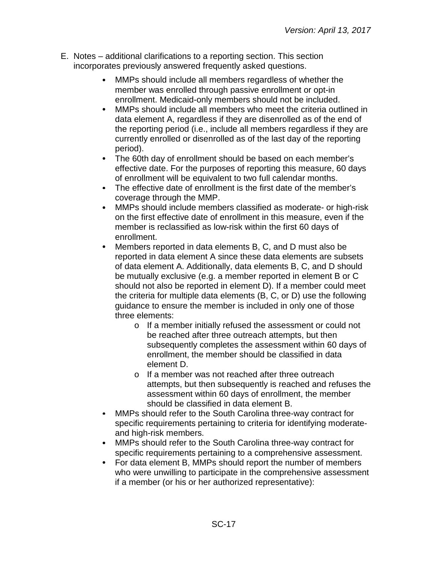- E. Notes additional clarifications to a reporting section. This section incorporates previously answered frequently asked questions.
	- MMPs should include all members regardless of whether the member was enrolled through passive enrollment or opt-in enrollment. Medicaid-only members should not be included.
	- $\bullet$ MMPs should include all members who meet the criteria outlined in data element A, regardless if they are disenrolled as of the end of the reporting period (i.e., include all members regardless if they are currently enrolled or disenrolled as of the last day of the reporting period).
	- The 60th day of enrollment should be based on each member's effective date. For the purposes of reporting this measure, 60 days of enrollment will be equivalent to two full calendar months.
	- The effective date of enrollment is the first date of the member's  $\bullet$ coverage through the MMP.
	- $\bullet$ MMPs should include members classified as moderate- or high-risk on the first effective date of enrollment in this measure, even if the member is reclassified as low-risk within the first 60 days of enrollment.
	- Members reported in data elements B, C, and D must also be  $\bullet$ reported in data element A since these data elements are subsets of data element A. Additionally, data elements B, C, and D should be mutually exclusive (e.g. a member reported in element B or C should not also be reported in element D). If a member could meet the criteria for multiple data elements (B, C, or D) use the following guidance to ensure the member is included in only one of those three elements:
		- o If a member initially refused the assessment or could not be reached after three outreach attempts, but then subsequently completes the assessment within 60 days of enrollment, the member should be classified in data element D.
		- o If a member was not reached after three outreach attempts, but then subsequently is reached and refuses the assessment within 60 days of enrollment, the member should be classified in data element B.
	- MMPs should refer to the South Carolina three-way contract for specific requirements pertaining to criteria for identifying moderateand high-risk members.
	- MMPs should refer to the South Carolina three-way contract for  $\bullet$ specific requirements pertaining to a comprehensive assessment.
	- $\bullet$ For data element B, MMPs should report the number of members who were unwilling to participate in the comprehensive assessment if a member (or his or her authorized representative):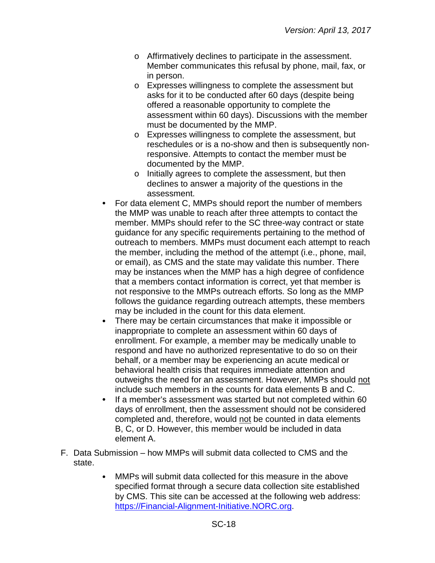- o Affirmatively declines to participate in the assessment. Member communicates this refusal by phone, mail, fax, or in person.
- o Expresses willingness to complete the assessment but asks for it to be conducted after 60 days (despite being offered a reasonable opportunity to complete the assessment within 60 days). Discussions with the member must be documented by the MMP.
- o Expresses willingness to complete the assessment, but reschedules or is a no-show and then is subsequently nonresponsive. Attempts to contact the member must be documented by the MMP.
- o Initially agrees to complete the assessment, but then declines to answer a majority of the questions in the assessment.
- For data element C, MMPs should report the number of members the MMP was unable to reach after three attempts to contact the member. MMPs should refer to the SC three-way contract or state guidance for any specific requirements pertaining to the method of outreach to members. MMPs must document each attempt to reach the member, including the method of the attempt (i.e., phone, mail, or email), as CMS and the state may validate this number. There may be instances when the MMP has a high degree of confidence that a members contact information is correct, yet that member is not responsive to the MMPs outreach efforts. So long as the MMP follows the guidance regarding outreach attempts, these members may be included in the count for this data element.
- There may be certain circumstances that make it impossible or inappropriate to complete an assessment within 60 days of enrollment. For example, a member may be medically unable to respond and have no authorized representative to do so on their behalf, or a member may be experiencing an acute medical or behavioral health crisis that requires immediate attention and outweighs the need for an assessment. However, MMPs should not include such members in the counts for data elements B and C.
- $\bullet$ If a member's assessment was started but not completed within 60 days of enrollment, then the assessment should not be considered completed and, therefore, would not be counted in data elements B, C, or D. However, this member would be included in data element A.
- F. Data Submission how MMPs will submit data collected to CMS and the state.
	- $\bullet$ MMPs will submit data collected for this measure in the above specified format through a secure data collection site established by CMS. This site can be accessed at the following web address: [https://Financial-Alignment-Initiative.NORC.org.](https://financial-alignment-initiative.norc.org/)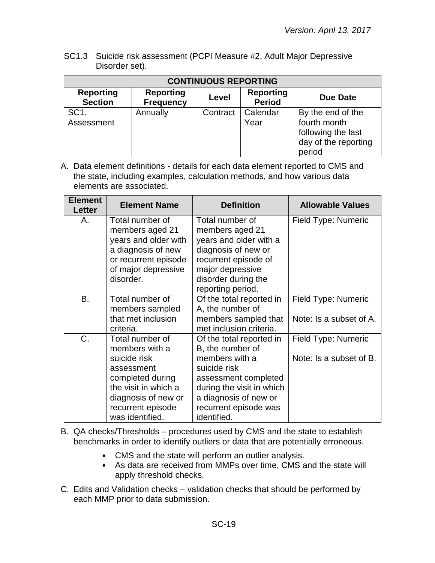SC1.3 Suicide risk assessment (PCPI Measure #2, Adult Major Depressive Disorder set).

| <b>CONTINUOUS REPORTING</b>        |                                      |          |                                   |                                                                                           |
|------------------------------------|--------------------------------------|----------|-----------------------------------|-------------------------------------------------------------------------------------------|
| <b>Reporting</b><br><b>Section</b> | <b>Reporting</b><br><b>Frequency</b> | Level    | <b>Reporting</b><br><b>Period</b> | Due Date                                                                                  |
| SC <sub>1</sub> .<br>Assessment    | Annually                             | Contract | Calendar<br>Year                  | By the end of the<br>fourth month<br>following the last<br>day of the reporting<br>period |

| <b>Element</b><br><b>Letter</b> | <b>Element Name</b>                                                                                                                                                        | <b>Definition</b>                                                                                                                                                                                    | <b>Allowable Values</b>                        |
|---------------------------------|----------------------------------------------------------------------------------------------------------------------------------------------------------------------------|------------------------------------------------------------------------------------------------------------------------------------------------------------------------------------------------------|------------------------------------------------|
| Α.                              | Total number of<br>members aged 21<br>years and older with<br>a diagnosis of new<br>or recurrent episode<br>of major depressive<br>disorder.                               | Total number of<br>members aged 21<br>years and older with a<br>diagnosis of new or<br>recurrent episode of<br>major depressive<br>disorder during the<br>reporting period.                          | Field Type: Numeric                            |
| <b>B.</b>                       | Total number of<br>members sampled<br>that met inclusion<br>criteria.                                                                                                      | Of the total reported in<br>A, the number of<br>members sampled that<br>met inclusion criteria.                                                                                                      | Field Type: Numeric<br>Note: Is a subset of A. |
| C.                              | Total number of<br>members with a<br>suicide risk<br>assessment<br>completed during<br>the visit in which a<br>diagnosis of new or<br>recurrent episode<br>was identified. | Of the total reported in<br>B, the number of<br>members with a<br>suicide risk<br>assessment completed<br>during the visit in which<br>a diagnosis of new or<br>recurrent episode was<br>identified. | Field Type: Numeric<br>Note: Is a subset of B. |

- B. QA checks/Thresholds procedures used by CMS and the state to establish benchmarks in order to identify outliers or data that are potentially erroneous.
	- CMS and the state will perform an outlier analysis.
	- As data are received from MMPs over time, CMS and the state will apply threshold checks.
- C. Edits and Validation checks validation checks that should be performed by each MMP prior to data submission.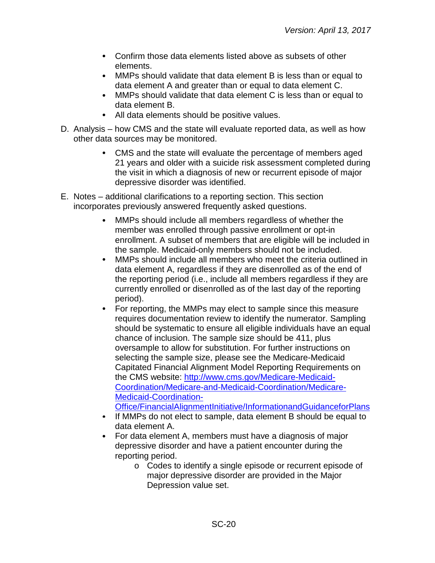- Confirm those data elements listed above as subsets of other elements.
- MMPs should validate that data element B is less than or equal to  $\bullet$ data element A and greater than or equal to data element C.
- MMPs should validate that data element C is less than or equal to  $\bullet$ data element B.
- All data elements should be positive values.
- D. Analysis how CMS and the state will evaluate reported data, as well as how other data sources may be monitored.
	- CMS and the state will evaluate the percentage of members aged 21 years and older with a suicide risk assessment completed during the visit in which a diagnosis of new or recurrent episode of major depressive disorder was identified.
- E. Notes additional clarifications to a reporting section. This section incorporates previously answered frequently asked questions.
	- MMPs should include all members regardless of whether the member was enrolled through passive enrollment or opt-in enrollment. A subset of members that are eligible will be included in the sample. Medicaid-only members should not be included.
	- MMPs should include all members who meet the criteria outlined in  $\bullet$ data element A, regardless if they are disenrolled as of the end of the reporting period (i.e., include all members regardless if they are currently enrolled or disenrolled as of the last day of the reporting period).
	- $\bullet$ For reporting, the MMPs may elect to sample since this measure requires documentation review to identify the numerator. Sampling should be systematic to ensure all eligible individuals have an equal chance of inclusion. The sample size should be 411, plus oversample to allow for substitution. For further instructions on selecting the sample size, please see the Medicare-Medicaid Capitated Financial Alignment Model Reporting Requirements on the CMS website: [http://www.cms.gov/Medicare-Medicaid-](http://www.cms.gov/Medicare-Medicaid-Coordination/Medicare-and-Medicaid-Coordination/Medicare-Medicaid-Coordination-Office/FinancialAlignmentInitiative/InformationandGuidanceforPlans)[Coordination/Medicare-and-Medicaid-Coordination/Medicare-](http://www.cms.gov/Medicare-Medicaid-Coordination/Medicare-and-Medicaid-Coordination/Medicare-Medicaid-Coordination-Office/FinancialAlignmentInitiative/InformationandGuidanceforPlans)[Medicaid-Coordination-](http://www.cms.gov/Medicare-Medicaid-Coordination/Medicare-and-Medicaid-Coordination/Medicare-Medicaid-Coordination-Office/FinancialAlignmentInitiative/InformationandGuidanceforPlans)[Office/FinancialAlignmentInitiative/InformationandGuidanceforPlans](http://www.cms.gov/Medicare-Medicaid-Coordination/Medicare-and-Medicaid-Coordination/Medicare-Medicaid-Coordination-Office/FinancialAlignmentInitiative/InformationandGuidanceforPlans)
	- If MMPs do not elect to sample, data element B should be equal to data element A.
	- For data element A, members must have a diagnosis of major  $\bullet$ depressive disorder and have a patient encounter during the reporting period.
		- o Codes to identify a single episode or recurrent episode of major depressive disorder are provided in the Major Depression value set.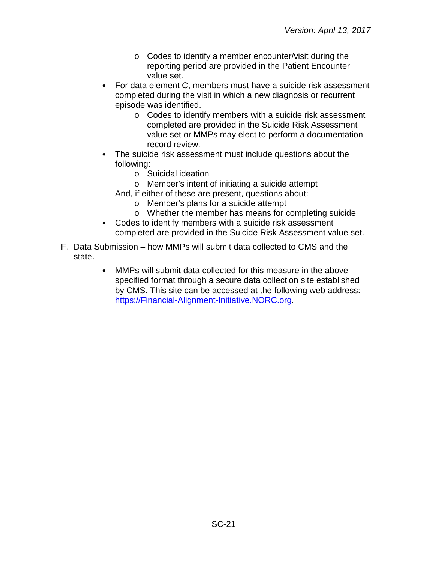- o Codes to identify a member encounter/visit during the reporting period are provided in the Patient Encounter value set.
- For data element C, members must have a suicide risk assessment completed during the visit in which a new diagnosis or recurrent episode was identified.
	- o Codes to identify members with a suicide risk assessment completed are provided in the Suicide Risk Assessment value set or MMPs may elect to perform a documentation record review.
- The suicide risk assessment must include questions about the following:
	- o Suicidal ideation
	- o Member's intent of initiating a suicide attempt
	- And, if either of these are present, questions about:
		- o Member's plans for a suicide attempt
		- o Whether the member has means for completing suicide
- Codes to identify members with a suicide risk assessment completed are provided in the Suicide Risk Assessment value set.
- F. Data Submission how MMPs will submit data collected to CMS and the state.
	- MMPs will submit data collected for this measure in the above  $\bullet$ specified format through a secure data collection site established by CMS. This site can be accessed at the following web address: [https://Financial-Alignment-Initiative.NORC.org.](https://financial-alignment-initiative.norc.org/)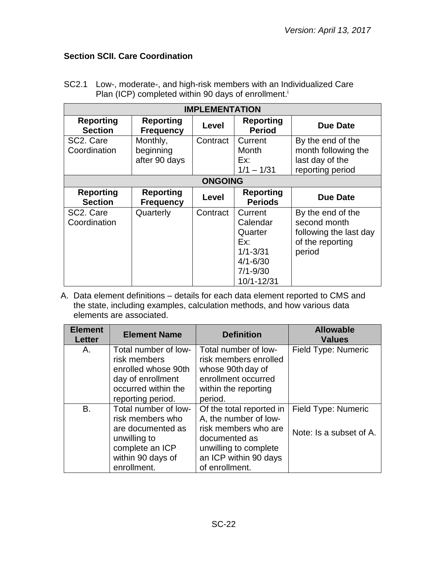# <span id="page-21-0"></span>**Section SCII. Care Coordination**

| <b>IMPLEMENTATION</b>              |                                        |          |                                                                                                     |                                                                                           |  |
|------------------------------------|----------------------------------------|----------|-----------------------------------------------------------------------------------------------------|-------------------------------------------------------------------------------------------|--|
| <b>Reporting</b><br><b>Section</b> | <b>Reporting</b><br><b>Frequency</b>   | Level    | <b>Reporting</b><br><b>Period</b>                                                                   | <b>Due Date</b>                                                                           |  |
| SC2. Care<br>Coordination          | Monthly,<br>beginning<br>after 90 days | Contract | Current<br>Month<br>Ex:<br>$1/1 - 1/31$                                                             | By the end of the<br>month following the<br>last day of the<br>reporting period           |  |
|                                    | <b>ONGOING</b>                         |          |                                                                                                     |                                                                                           |  |
| <b>Reporting</b><br><b>Section</b> | <b>Reporting</b><br><b>Frequency</b>   | Level    | <b>Reporting</b><br><b>Periods</b>                                                                  | <b>Due Date</b>                                                                           |  |
| SC2. Care<br>Coordination          | Quarterly                              | Contract | Current<br>Calendar<br>Quarter<br>Ex:<br>$1/1 - 3/31$<br>$4/1 - 6/30$<br>$7/1 - 9/30$<br>10/1-12/31 | By the end of the<br>second month<br>following the last day<br>of the reporting<br>period |  |

SC2.1 Low-, moderate-, and high-risk members with an Individualized Care Plan (ICP) completed within 90 days of enrollment.<sup>i</sup>

| <b>Element</b><br><b>Letter</b> | <b>Element Name</b>                                                                                                                  | <b>Definition</b>                                                                                                                                              | <b>Allowable</b><br><b>Values</b>              |
|---------------------------------|--------------------------------------------------------------------------------------------------------------------------------------|----------------------------------------------------------------------------------------------------------------------------------------------------------------|------------------------------------------------|
| Α.                              | Total number of low-<br>risk members<br>enrolled whose 90th<br>day of enrollment<br>occurred within the<br>reporting period.         | Total number of low-<br>risk members enrolled<br>whose 90th day of<br>enrollment occurred<br>within the reporting<br>period.                                   | Field Type: Numeric                            |
| <b>B.</b>                       | Total number of low-<br>risk members who<br>are documented as<br>unwilling to<br>complete an ICP<br>within 90 days of<br>enrollment. | Of the total reported in<br>A, the number of low-<br>risk members who are<br>documented as<br>unwilling to complete<br>an ICP within 90 days<br>of enrollment. | Field Type: Numeric<br>Note: Is a subset of A. |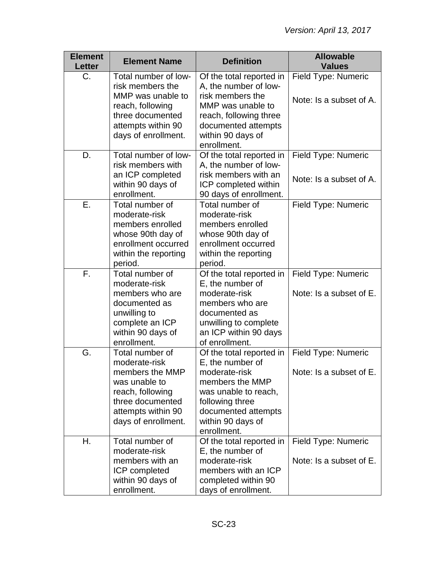| <b>Element</b><br><b>Letter</b> | <b>Element Name</b>                                                                                                                                       | <b>Definition</b>                                                                                                                                                                      | <b>Allowable</b><br><b>Values</b>              |
|---------------------------------|-----------------------------------------------------------------------------------------------------------------------------------------------------------|----------------------------------------------------------------------------------------------------------------------------------------------------------------------------------------|------------------------------------------------|
| $C_{\cdot}$                     | Total number of low-<br>risk members the                                                                                                                  | Of the total reported in<br>A, the number of low-                                                                                                                                      | Field Type: Numeric                            |
|                                 | MMP was unable to<br>reach, following<br>three documented<br>attempts within 90<br>days of enrollment.                                                    | risk members the<br>MMP was unable to<br>reach, following three<br>documented attempts<br>within 90 days of<br>enrollment.                                                             | Note: Is a subset of A.                        |
| D.                              | Total number of low-<br>risk members with<br>an ICP completed<br>within 90 days of<br>enrollment.                                                         | Of the total reported in<br>A, the number of low-<br>risk members with an<br>ICP completed within<br>90 days of enrollment.                                                            | Field Type: Numeric<br>Note: Is a subset of A. |
| Ε.                              | Total number of<br>moderate-risk<br>members enrolled<br>whose 90th day of<br>enrollment occurred<br>within the reporting<br>period.                       | Total number of<br>moderate-risk<br>members enrolled<br>whose 90th day of<br>enrollment occurred<br>within the reporting<br>period.                                                    | Field Type: Numeric                            |
| F.                              | Total number of<br>moderate-risk<br>members who are<br>documented as<br>unwilling to<br>complete an ICP<br>within 90 days of<br>enrollment.               | Of the total reported in<br>E, the number of<br>moderate-risk<br>members who are<br>documented as<br>unwilling to complete<br>an ICP within 90 days<br>of enrollment.                  | Field Type: Numeric<br>Note: Is a subset of E. |
| G.                              | Total number of<br>moderate-risk<br>members the MMP<br>was unable to<br>reach, following<br>three documented<br>attempts within 90<br>days of enrollment. | Of the total reported in<br>E, the number of<br>moderate-risk<br>members the MMP<br>was unable to reach,<br>following three<br>documented attempts<br>within 90 days of<br>enrollment. | Field Type: Numeric<br>Note: Is a subset of E. |
| Η.                              | Total number of<br>moderate-risk<br>members with an<br>ICP completed<br>within 90 days of<br>enrollment.                                                  | Of the total reported in<br>E, the number of<br>moderate-risk<br>members with an ICP<br>completed within 90<br>days of enrollment.                                                     | Field Type: Numeric<br>Note: Is a subset of E. |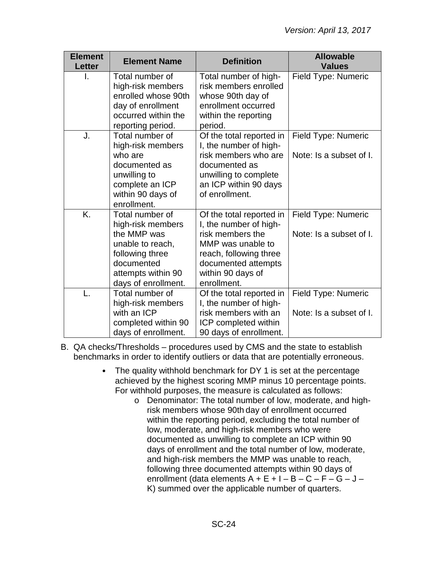| <b>Element</b><br><b>Letter</b> | <b>Element Name</b>                                                                                                                                   | <b>Definition</b>                                                                                                                                                                | <b>Allowable</b><br><b>Values</b>              |
|---------------------------------|-------------------------------------------------------------------------------------------------------------------------------------------------------|----------------------------------------------------------------------------------------------------------------------------------------------------------------------------------|------------------------------------------------|
| I.                              | Total number of<br>high-risk members<br>enrolled whose 90th<br>day of enrollment<br>occurred within the<br>reporting period.                          | Total number of high-<br>risk members enrolled<br>whose 90th day of<br>enrollment occurred<br>within the reporting<br>period.                                                    | Field Type: Numeric                            |
| J.                              | Total number of<br>high-risk members<br>who are<br>documented as<br>unwilling to<br>complete an ICP<br>within 90 days of<br>enrollment.               | Of the total reported in<br>I, the number of high-<br>risk members who are<br>documented as<br>unwilling to complete<br>an ICP within 90 days<br>of enrollment.                  | Field Type: Numeric<br>Note: Is a subset of I. |
| K.                              | Total number of<br>high-risk members<br>the MMP was<br>unable to reach,<br>following three<br>documented<br>attempts within 90<br>days of enrollment. | Of the total reported in<br>I, the number of high-<br>risk members the<br>MMP was unable to<br>reach, following three<br>documented attempts<br>within 90 days of<br>enrollment. | Field Type: Numeric<br>Note: Is a subset of I. |
| L.                              | Total number of<br>high-risk members<br>with an ICP<br>completed within 90<br>days of enrollment.                                                     | Of the total reported in<br>I, the number of high-<br>risk members with an<br>ICP completed within<br>90 days of enrollment.                                                     | Field Type: Numeric<br>Note: Is a subset of I. |

B. QA checks/Thresholds – procedures used by CMS and the state to establish benchmarks in order to identify outliers or data that are potentially erroneous.

- The quality withhold benchmark for DY 1 is set at the percentage achieved by the highest scoring MMP minus 10 percentage points. For withhold purposes, the measure is calculated as follows:
	- o Denominator: The total number of low, moderate, and highrisk members whose 90th day of enrollment occurred within the reporting period, excluding the total number of low, moderate, and high-risk members who were documented as unwilling to complete an ICP within 90 days of enrollment and the total number of low, moderate, and high-risk members the MMP was unable to reach, following three documented attempts within 90 days of enrollment (data elements  $A + E + I - B - C - F - G - J -$ K) summed over the applicable number of quarters.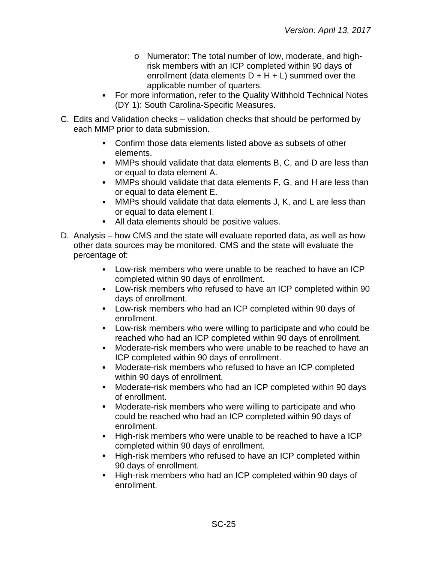- o Numerator: The total number of low, moderate, and highrisk members with an ICP completed within 90 days of enrollment (data elements  $D + H + L$ ) summed over the applicable number of quarters.
- For more information, refer to the Quality Withhold Technical Notes (DY 1): South Carolina-Specific Measures.
- C. Edits and Validation checks validation checks that should be performed by each MMP prior to data submission.
	- Confirm those data elements listed above as subsets of other elements.
	- MMPs should validate that data elements B, C, and D are less than or equal to data element A.
	- MMPs should validate that data elements F, G, and H are less than or equal to data element E.
	- MMPs should validate that data elements J, K, and L are less than or equal to data element I.
	- All data elements should be positive values.
- D. Analysis how CMS and the state will evaluate reported data, as well as how other data sources may be monitored. CMS and the state will evaluate the percentage of:
	- Low-risk members who were unable to be reached to have an ICP completed within 90 days of enrollment.
	- Low-risk members who refused to have an ICP completed within 90 days of enrollment.
	- Low-risk members who had an ICP completed within 90 days of enrollment.
	- $\bullet$ Low-risk members who were willing to participate and who could be reached who had an ICP completed within 90 days of enrollment.
	- $\bullet$ Moderate-risk members who were unable to be reached to have an ICP completed within 90 days of enrollment.
	- $\bullet$ Moderate-risk members who refused to have an ICP completed within 90 days of enrollment.
	- $\bullet$ Moderate-risk members who had an ICP completed within 90 days of enrollment.
	- Moderate-risk members who were willing to participate and who  $\bullet$ could be reached who had an ICP completed within 90 days of enrollment.
	- $\bullet$ High-risk members who were unable to be reached to have a ICP completed within 90 days of enrollment.
	- High-risk members who refused to have an ICP completed within  $\bullet$ 90 days of enrollment.
	- High-risk members who had an ICP completed within 90 days of enrollment.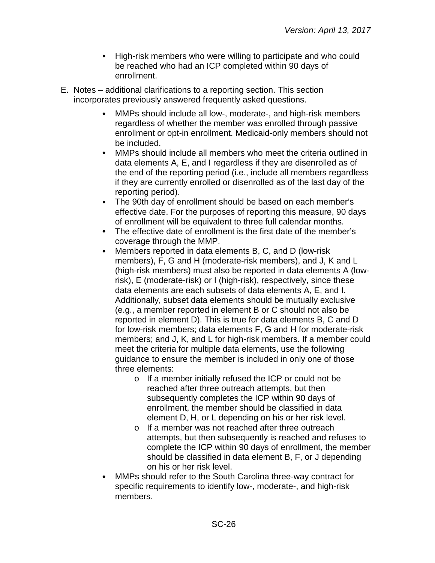- $\bullet$ High-risk members who were willing to participate and who could be reached who had an ICP completed within 90 days of enrollment.
- E. Notes additional clarifications to a reporting section. This section incorporates previously answered frequently asked questions.
	- MMPs should include all low-, moderate-, and high-risk members regardless of whether the member was enrolled through passive enrollment or opt-in enrollment. Medicaid-only members should not be included.
	- $\bullet$ MMPs should include all members who meet the criteria outlined in data elements A, E, and I regardless if they are disenrolled as of the end of the reporting period (i.e., include all members regardless if they are currently enrolled or disenrolled as of the last day of the reporting period).
	- $\bullet$ The 90th day of enrollment should be based on each member's effective date. For the purposes of reporting this measure, 90 days of enrollment will be equivalent to three full calendar months.
	- $\bullet$ The effective date of enrollment is the first date of the member's coverage through the MMP.
	- $\bullet$ Members reported in data elements B, C, and D (low-risk members), F, G and H (moderate-risk members), and J, K and L (high-risk members) must also be reported in data elements A (lowrisk), E (moderate-risk) or I (high-risk), respectively, since these data elements are each subsets of data elements A, E, and I. Additionally, subset data elements should be mutually exclusive (e.g., a member reported in element B or C should not also be reported in element D). This is true for data elements B, C and D for low-risk members; data elements F, G and H for moderate-risk members; and J, K, and L for high-risk members. If a member could meet the criteria for multiple data elements, use the following guidance to ensure the member is included in only one of those three elements:
		- o If a member initially refused the ICP or could not be reached after three outreach attempts, but then subsequently completes the ICP within 90 days of enrollment, the member should be classified in data element D, H, or L depending on his or her risk level.
		- o If a member was not reached after three outreach attempts, but then subsequently is reached and refuses to complete the ICP within 90 days of enrollment, the member should be classified in data element B, F, or J depending on his or her risk level.
	- MMPs should refer to the South Carolina three-way contract for specific requirements to identify low-, moderate-, and high-risk members.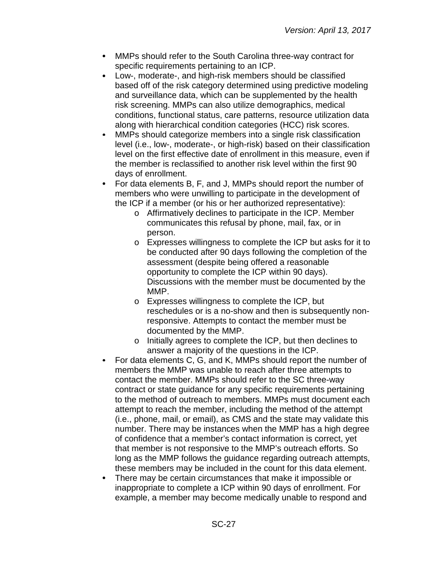- $\bullet$ MMPs should refer to the South Carolina three-way contract for specific requirements pertaining to an ICP.
- $\bullet$ Low-, moderate-, and high-risk members should be classified based off of the risk category determined using predictive modeling and surveillance data, which can be supplemented by the health risk screening. MMPs can also utilize demographics, medical conditions, functional status, care patterns, resource utilization data along with hierarchical condition categories (HCC) risk scores.
- MMPs should categorize members into a single risk classification level (i.e., low-, moderate-, or high-risk) based on their classification level on the first effective date of enrollment in this measure, even if the member is reclassified to another risk level within the first 90 days of enrollment.
- $\bullet$ For data elements B, F, and J, MMPs should report the number of members who were unwilling to participate in the development of the ICP if a member (or his or her authorized representative):
	- o Affirmatively declines to participate in the ICP. Member communicates this refusal by phone, mail, fax, or in person.
	- o Expresses willingness to complete the ICP but asks for it to be conducted after 90 days following the completion of the assessment (despite being offered a reasonable opportunity to complete the ICP within 90 days). Discussions with the member must be documented by the MMP.
	- o Expresses willingness to complete the ICP, but reschedules or is a no-show and then is subsequently nonresponsive. Attempts to contact the member must be documented by the MMP.
	- o Initially agrees to complete the ICP, but then declines to answer a majority of the questions in the ICP.
- For data elements C, G, and K, MMPs should report the number of  $\bullet$ members the MMP was unable to reach after three attempts to contact the member. MMPs should refer to the SC three-way contract or state guidance for any specific requirements pertaining to the method of outreach to members. MMPs must document each attempt to reach the member, including the method of the attempt (i.e., phone, mail, or email), as CMS and the state may validate this number. There may be instances when the MMP has a high degree of confidence that a member's contact information is correct, yet that member is not responsive to the MMP's outreach efforts. So long as the MMP follows the guidance regarding outreach attempts, these members may be included in the count for this data element.
- $\bullet$ There may be certain circumstances that make it impossible or inappropriate to complete a ICP within 90 days of enrollment. For example, a member may become medically unable to respond and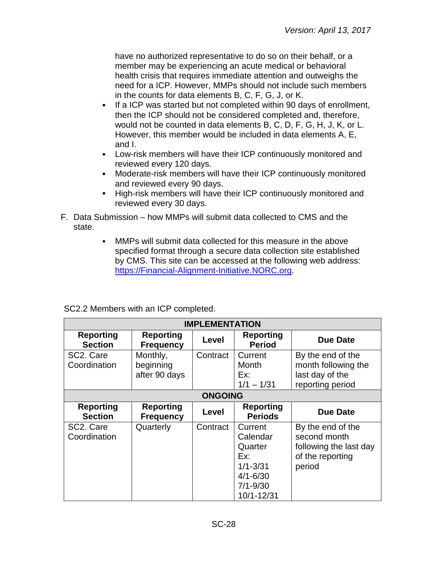have no authorized representative to do so on their behalf, or a member may be experiencing an acute medical or behavioral health crisis that requires immediate attention and outweighs the need for a ICP. However, MMPs should not include such members in the counts for data elements B, C, F, G, J, or K.

- If a ICP was started but not completed within 90 days of enrollment, then the ICP should not be considered completed and, therefore, would not be counted in data elements B, C, D, F, G, H, J, K, or L. However, this member would be included in data elements A, E, and I.
- $\bullet$ Low-risk members will have their ICP continuously monitored and reviewed every 120 days.
- Moderate-risk members will have their ICP continuously monitored  $\bullet$ and reviewed every 90 days.
- High-risk members will have their ICP continuously monitored and reviewed every 30 days.
- F. Data Submission how MMPs will submit data collected to CMS and the state.
	- MMPs will submit data collected for this measure in the above specified format through a secure data collection site established by CMS. This site can be accessed at the following web address: [https://Financial-Alignment-Initiative.NORC.org.](https://financial-alignment-initiative.norc.org/)

| <b>IMPLEMENTATION</b>              |                                        |          |                                                                                                     |                                                                                           |  |
|------------------------------------|----------------------------------------|----------|-----------------------------------------------------------------------------------------------------|-------------------------------------------------------------------------------------------|--|
| <b>Reporting</b><br><b>Section</b> | <b>Reporting</b><br><b>Frequency</b>   | Level    | <b>Reporting</b><br><b>Period</b>                                                                   | <b>Due Date</b>                                                                           |  |
| SC2. Care<br>Coordination          | Monthly,<br>beginning<br>after 90 days | Contract | Current<br>Month<br>Ex:<br>$1/1 - 1/31$                                                             | By the end of the<br>month following the<br>last day of the<br>reporting period           |  |
| <b>ONGOING</b>                     |                                        |          |                                                                                                     |                                                                                           |  |
| <b>Reporting</b><br><b>Section</b> | <b>Reporting</b><br><b>Frequency</b>   | Level    | <b>Reporting</b><br><b>Periods</b>                                                                  | <b>Due Date</b>                                                                           |  |
| SC2. Care<br>Coordination          | Quarterly                              | Contract | Current<br>Calendar<br>Quarter<br>Ex:<br>$1/1 - 3/31$<br>$4/1 - 6/30$<br>$7/1 - 9/30$<br>10/1-12/31 | By the end of the<br>second month<br>following the last day<br>of the reporting<br>period |  |

SC2.2 Members with an ICP completed.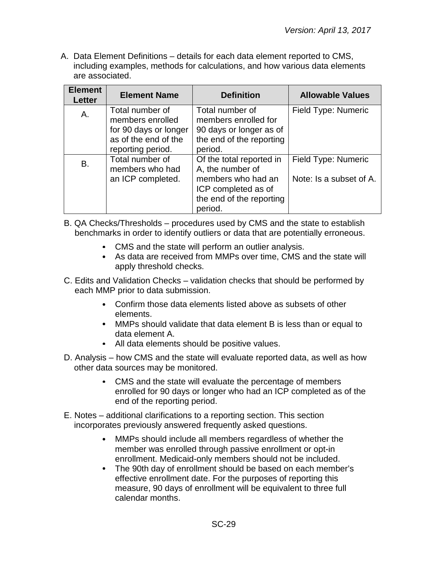A. Data Element Definitions – details for each data element reported to CMS, including examples, methods for calculations, and how various data elements are associated.

| <b>Element</b><br>Letter | <b>Element Name</b>   | <b>Definition</b>        | <b>Allowable Values</b> |
|--------------------------|-----------------------|--------------------------|-------------------------|
| Α.                       | Total number of       | Total number of          | Field Type: Numeric     |
|                          | members enrolled      | members enrolled for     |                         |
|                          | for 90 days or longer | 90 days or longer as of  |                         |
|                          | as of the end of the  | the end of the reporting |                         |
|                          | reporting period.     | period.                  |                         |
| B.                       | Total number of       | Of the total reported in | Field Type: Numeric     |
|                          | members who had       | A, the number of         |                         |
|                          | an ICP completed.     | members who had an       | Note: Is a subset of A. |
|                          |                       | ICP completed as of      |                         |
|                          |                       | the end of the reporting |                         |
|                          |                       | period.                  |                         |

- B. QA Checks/Thresholds procedures used by CMS and the state to establish benchmarks in order to identify outliers or data that are potentially erroneous.
	- CMS and the state will perform an outlier analysis.
	- As data are received from MMPs over time, CMS and the state will apply threshold checks.
- C. Edits and Validation Checks validation checks that should be performed by each MMP prior to data submission.
	- Confirm those data elements listed above as subsets of other elements.
	- MMPs should validate that data element B is less than or equal to data element A.
	- All data elements should be positive values.
- D. Analysis how CMS and the state will evaluate reported data, as well as how other data sources may be monitored.
	- CMS and the state will evaluate the percentage of members enrolled for 90 days or longer who had an ICP completed as of the end of the reporting period.
- E. Notes additional clarifications to a reporting section. This section incorporates previously answered frequently asked questions.
	- MMPs should include all members regardless of whether the member was enrolled through passive enrollment or opt-in enrollment. Medicaid-only members should not be included.
	- The 90th day of enrollment should be based on each member's effective enrollment date. For the purposes of reporting this measure, 90 days of enrollment will be equivalent to three full calendar months.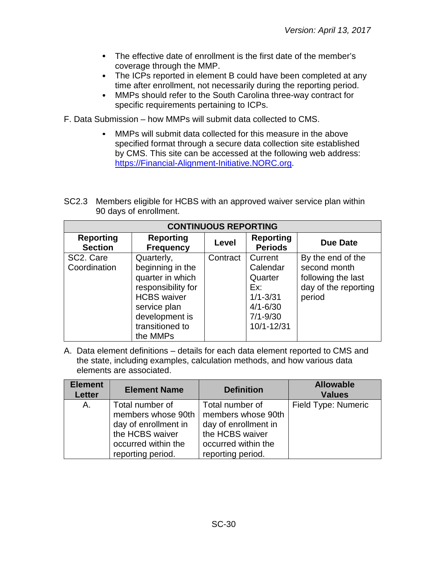- The effective date of enrollment is the first date of the member's coverage through the MMP.
- The ICPs reported in element B could have been completed at any time after enrollment, not necessarily during the reporting period.
- MMPs should refer to the South Carolina three-way contract for  $\bullet$ specific requirements pertaining to ICPs.

F. Data Submission – how MMPs will submit data collected to CMS.

MMPs will submit data collected for this measure in the above  $\bullet$ specified format through a secure data collection site established by CMS. This site can be accessed at the following web address: [https://Financial-Alignment-Initiative.NORC.org.](https://financial-alignment-initiative.norc.org/)

| SC2.3 Members eligible for HCBS with an approved waiver service plan within |
|-----------------------------------------------------------------------------|
| 90 days of enrollment.                                                      |

| <b>CONTINUOUS REPORTING</b>        |                                      |          |                                    |                      |  |
|------------------------------------|--------------------------------------|----------|------------------------------------|----------------------|--|
| <b>Reporting</b><br><b>Section</b> | <b>Reporting</b><br><b>Frequency</b> | Level    | <b>Reporting</b><br><b>Periods</b> | <b>Due Date</b>      |  |
| SC2. Care                          | Quarterly,                           | Contract | Current                            | By the end of the    |  |
| Coordination                       | beginning in the                     |          | Calendar                           | second month         |  |
|                                    | quarter in which                     |          | Quarter                            | following the last   |  |
|                                    | responsibility for                   |          | Ex:                                | day of the reporting |  |
|                                    | <b>HCBS</b> waiver                   |          | $1/1 - 3/31$                       | period               |  |
|                                    | service plan                         |          | $4/1 - 6/30$                       |                      |  |
|                                    | development is                       |          | $7/1 - 9/30$                       |                      |  |
|                                    | transitioned to                      |          | 10/1-12/31                         |                      |  |
|                                    | the MMPs                             |          |                                    |                      |  |

| <b>Element</b><br><b>Letter</b> | <b>Element Name</b>                                                                                                          | <b>Definition</b>                                                                                                            | <b>Allowable</b><br><b>Values</b> |
|---------------------------------|------------------------------------------------------------------------------------------------------------------------------|------------------------------------------------------------------------------------------------------------------------------|-----------------------------------|
| A.                              | Total number of<br>members whose 90th<br>day of enrollment in<br>the HCBS waiver<br>occurred within the<br>reporting period. | Total number of<br>members whose 90th<br>day of enrollment in<br>the HCBS waiver<br>occurred within the<br>reporting period. | Field Type: Numeric               |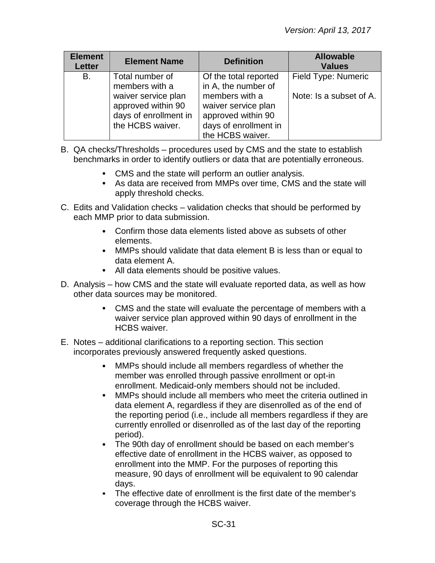| <b>Element</b><br><b>Letter</b> | <b>Element Name</b>                                                                    | <b>Definition</b>                                                                                        | <b>Allowable</b><br><b>Values</b> |
|---------------------------------|----------------------------------------------------------------------------------------|----------------------------------------------------------------------------------------------------------|-----------------------------------|
| B.                              | Total number of<br>members with a                                                      | Of the total reported<br>in A, the number of                                                             | Field Type: Numeric               |
|                                 | waiver service plan<br>approved within 90<br>days of enrollment in<br>the HCBS waiver. | members with a<br>waiver service plan<br>approved within 90<br>days of enrollment in<br>the HCBS waiver. | Note: Is a subset of A.           |

- B. QA checks/Thresholds procedures used by CMS and the state to establish benchmarks in order to identify outliers or data that are potentially erroneous.
	- CMS and the state will perform an outlier analysis.
	- As data are received from MMPs over time, CMS and the state will apply threshold checks.
- C. Edits and Validation checks validation checks that should be performed by each MMP prior to data submission.
	- Confirm those data elements listed above as subsets of other elements.
	- MMPs should validate that data element B is less than or equal to data element A.
	- All data elements should be positive values.
- D. Analysis how CMS and the state will evaluate reported data, as well as how other data sources may be monitored.
	- CMS and the state will evaluate the percentage of members with a waiver service plan approved within 90 days of enrollment in the HCBS waiver.
- E. Notes additional clarifications to a reporting section. This section incorporates previously answered frequently asked questions.
	- MMPs should include all members regardless of whether the  $\bullet$ member was enrolled through passive enrollment or opt-in enrollment. Medicaid-only members should not be included.
	- $\bullet$ MMPs should include all members who meet the criteria outlined in data element A, regardless if they are disenrolled as of the end of the reporting period (i.e., include all members regardless if they are currently enrolled or disenrolled as of the last day of the reporting period).
	- $\bullet$ The 90th day of enrollment should be based on each member's effective date of enrollment in the HCBS waiver, as opposed to enrollment into the MMP. For the purposes of reporting this measure, 90 days of enrollment will be equivalent to 90 calendar days.
	- The effective date of enrollment is the first date of the member's coverage through the HCBS waiver.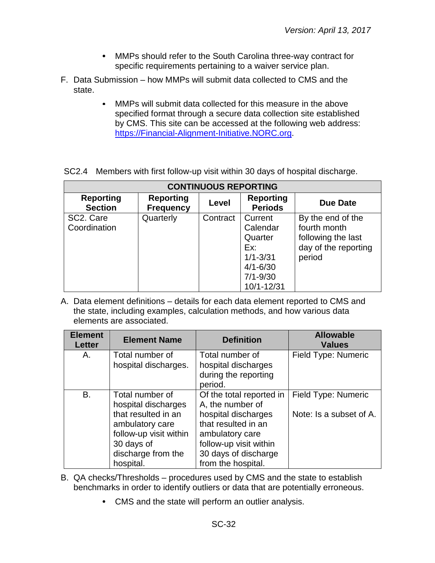- MMPs should refer to the South Carolina three-way contract for specific requirements pertaining to a waiver service plan.
- F. Data Submission how MMPs will submit data collected to CMS and the state.
	- MMPs will submit data collected for this measure in the above  $\bullet$ specified format through a secure data collection site established by CMS. This site can be accessed at the following web address: [https://Financial-Alignment-Initiative.NORC.org.](https://financial-alignment-initiative.norc.org/)

| <b>CONTINUOUS REPORTING</b>        |                                      |          |                                                                                                     |                                                                                           |  |
|------------------------------------|--------------------------------------|----------|-----------------------------------------------------------------------------------------------------|-------------------------------------------------------------------------------------------|--|
| <b>Reporting</b><br><b>Section</b> | <b>Reporting</b><br><b>Frequency</b> | Level    | <b>Reporting</b><br><b>Periods</b>                                                                  | <b>Due Date</b>                                                                           |  |
| SC2. Care<br>Coordination          | Quarterly                            | Contract | Current<br>Calendar<br>Quarter<br>Ex:<br>$1/1 - 3/31$<br>$4/1 - 6/30$<br>$7/1 - 9/30$<br>10/1-12/31 | By the end of the<br>fourth month<br>following the last<br>day of the reporting<br>period |  |

SC2.4 Members with first follow-up visit within 30 days of hospital discharge.

| <b>Element</b><br><b>Letter</b> | <b>Element Name</b>                                              | <b>Definition</b>                                                         | <b>Allowable</b><br><b>Values</b> |
|---------------------------------|------------------------------------------------------------------|---------------------------------------------------------------------------|-----------------------------------|
| A.                              | Total number of<br>hospital discharges.                          | Total number of<br>hospital discharges<br>during the reporting<br>period. | Field Type: Numeric               |
| <b>B.</b>                       | Total number of<br>hospital discharges                           | Of the total reported in<br>A, the number of                              | Field Type: Numeric               |
|                                 | that resulted in an<br>ambulatory care<br>follow-up visit within | hospital discharges<br>that resulted in an<br>ambulatory care             | Note: Is a subset of A.           |
|                                 | 30 days of                                                       | follow-up visit within                                                    |                                   |
|                                 | discharge from the                                               | 30 days of discharge                                                      |                                   |
|                                 | hospital.                                                        | from the hospital.                                                        |                                   |

- B. QA checks/Thresholds procedures used by CMS and the state to establish benchmarks in order to identify outliers or data that are potentially erroneous.
	- CMS and the state will perform an outlier analysis.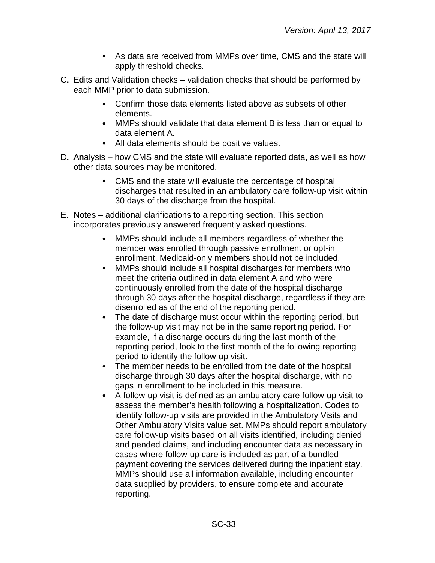- As data are received from MMPs over time, CMS and the state will apply threshold checks.
- C. Edits and Validation checks validation checks that should be performed by each MMP prior to data submission.
	- Confirm those data elements listed above as subsets of other elements.
	- MMPs should validate that data element B is less than or equal to data element A.
	- All data elements should be positive values.
- D. Analysis how CMS and the state will evaluate reported data, as well as how other data sources may be monitored.
	- CMS and the state will evaluate the percentage of hospital discharges that resulted in an ambulatory care follow-up visit within 30 days of the discharge from the hospital.
- E. Notes additional clarifications to a reporting section. This section incorporates previously answered frequently asked questions.
	- MMPs should include all members regardless of whether the member was enrolled through passive enrollment or opt-in enrollment. Medicaid-only members should not be included.
	- $\bullet$ MMPs should include all hospital discharges for members who meet the criteria outlined in data element A and who were continuously enrolled from the date of the hospital discharge through 30 days after the hospital discharge, regardless if they are disenrolled as of the end of the reporting period.
	- The date of discharge must occur within the reporting period, but  $\bullet$ the follow-up visit may not be in the same reporting period. For example, if a discharge occurs during the last month of the reporting period, look to the first month of the following reporting period to identify the follow-up visit.
	- The member needs to be enrolled from the date of the hospital discharge through 30 days after the hospital discharge, with no gaps in enrollment to be included in this measure.
	- A follow-up visit is defined as an ambulatory care follow-up visit to  $\bullet$ assess the member's health following a hospitalization. Codes to identify follow-up visits are provided in the Ambulatory Visits and Other Ambulatory Visits value set. MMPs should report ambulatory care follow-up visits based on all visits identified, including denied and pended claims, and including encounter data as necessary in cases where follow-up care is included as part of a bundled payment covering the services delivered during the inpatient stay. MMPs should use all information available, including encounter data supplied by providers, to ensure complete and accurate reporting.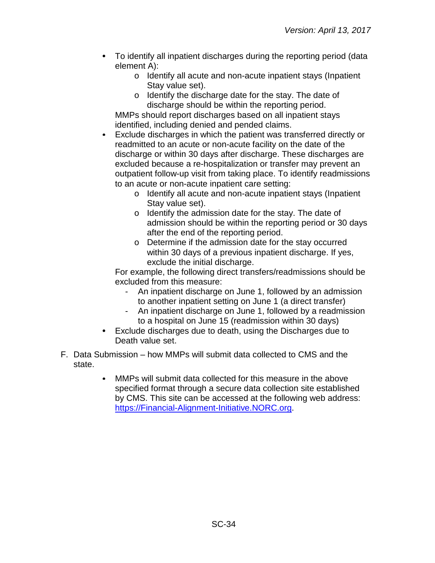- To identify all inpatient discharges during the reporting period (data element A):
	- o Identify all acute and non-acute inpatient stays (Inpatient Stay value set).
	- o Identify the discharge date for the stay. The date of discharge should be within the reporting period.

MMPs should report discharges based on all inpatient stays identified, including denied and pended claims.

- Exclude discharges in which the patient was transferred directly or  $\bullet$ readmitted to an acute or non-acute facility on the date of the discharge or within 30 days after discharge. These discharges are excluded because a re-hospitalization or transfer may prevent an outpatient follow-up visit from taking place. To identify readmissions to an acute or non-acute inpatient care setting:
	- o Identify all acute and non-acute inpatient stays (Inpatient Stay value set).
	- o Identify the admission date for the stay. The date of admission should be within the reporting period or 30 days after the end of the reporting period.
	- o Determine if the admission date for the stay occurred within 30 days of a previous inpatient discharge. If yes, exclude the initial discharge.

For example, the following direct transfers/readmissions should be excluded from this measure:

- An inpatient discharge on June 1, followed by an admission to another inpatient setting on June 1 (a direct transfer)
- An inpatient discharge on June 1, followed by a readmission to a hospital on June 15 (readmission within 30 days)
- Exclude discharges due to death, using the Discharges due to Death value set.
- F. Data Submission how MMPs will submit data collected to CMS and the state.
	- MMPs will submit data collected for this measure in the above  $\bullet$ specified format through a secure data collection site established by CMS. This site can be accessed at the following web address: [https://Financial-Alignment-Initiative.NORC.org.](https://financial-alignment-initiative.norc.org/)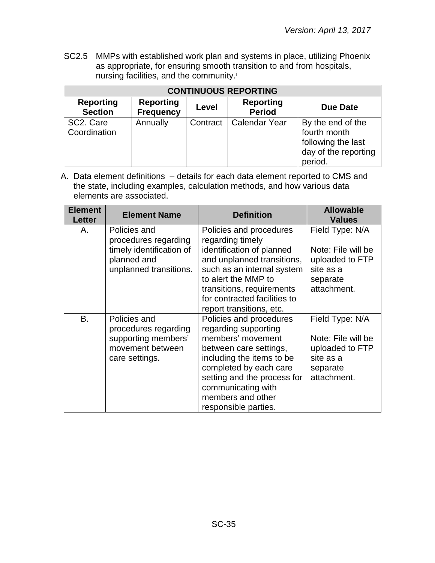SC2.5 MMPs with established work plan and systems in place, utilizing Phoenix as appropriate, for ensuring smooth transition to and from hospitals, nursing facilities, and the community.<sup>i</sup>

| <b>CONTINUOUS REPORTING</b>        |                                      |          |                                   |                                                                                            |  |
|------------------------------------|--------------------------------------|----------|-----------------------------------|--------------------------------------------------------------------------------------------|--|
| <b>Reporting</b><br><b>Section</b> | <b>Reporting</b><br><b>Frequency</b> | Level    | <b>Reporting</b><br><b>Period</b> | <b>Due Date</b>                                                                            |  |
| SC2. Care<br>Coordination          | Annually                             | Contract | Calendar Year                     | By the end of the<br>fourth month<br>following the last<br>day of the reporting<br>period. |  |

| <b>Element</b><br>Letter | <b>Element Name</b>                                               | <b>Definition</b>                                                                     | <b>Allowable</b><br><b>Values</b>                  |
|--------------------------|-------------------------------------------------------------------|---------------------------------------------------------------------------------------|----------------------------------------------------|
| Α.                       | Policies and<br>procedures regarding                              | Policies and procedures<br>regarding timely                                           | Field Type: N/A                                    |
|                          | timely identification of<br>planned and<br>unplanned transitions. | identification of planned<br>and unplanned transitions,<br>such as an internal system | Note: File will be<br>uploaded to FTP<br>site as a |
|                          |                                                                   | to alert the MMP to                                                                   | separate                                           |
|                          |                                                                   | transitions, requirements<br>for contracted facilities to<br>report transitions, etc. | attachment.                                        |
| <b>B.</b>                | Policies and<br>procedures regarding                              | Policies and procedures<br>regarding supporting                                       | Field Type: N/A                                    |
|                          | supporting members'<br>movement between                           | members' movement<br>between care settings,                                           | Note: File will be<br>uploaded to FTP              |
|                          | care settings.                                                    | including the items to be<br>completed by each care                                   | site as a<br>separate                              |
|                          |                                                                   | setting and the process for<br>communicating with                                     | attachment.                                        |
|                          |                                                                   | members and other<br>responsible parties.                                             |                                                    |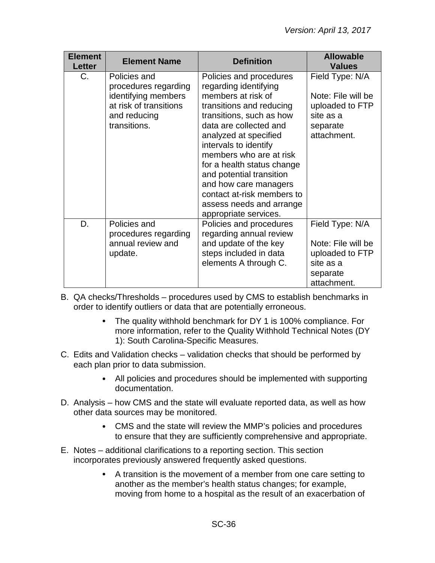| <b>Element</b><br><b>Letter</b> | <b>Element Name</b>                                                                                                   | <b>Definition</b>                                                                                                                                                                                                                                                                                                                                                                                           | <b>Allowable</b><br><b>Values</b>                                                                |
|---------------------------------|-----------------------------------------------------------------------------------------------------------------------|-------------------------------------------------------------------------------------------------------------------------------------------------------------------------------------------------------------------------------------------------------------------------------------------------------------------------------------------------------------------------------------------------------------|--------------------------------------------------------------------------------------------------|
| $C_{\cdot}$                     | Policies and<br>procedures regarding<br>identifying members<br>at risk of transitions<br>and reducing<br>transitions. | Policies and procedures<br>regarding identifying<br>members at risk of<br>transitions and reducing<br>transitions, such as how<br>data are collected and<br>analyzed at specified<br>intervals to identify<br>members who are at risk<br>for a health status change<br>and potential transition<br>and how care managers<br>contact at-risk members to<br>assess needs and arrange<br>appropriate services. | Field Type: N/A<br>Note: File will be<br>uploaded to FTP<br>site as a<br>separate<br>attachment. |
| D.                              | Policies and<br>procedures regarding<br>annual review and<br>update.                                                  | Policies and procedures<br>regarding annual review<br>and update of the key<br>steps included in data<br>elements A through C.                                                                                                                                                                                                                                                                              | Field Type: N/A<br>Note: File will be<br>uploaded to FTP<br>site as a<br>separate<br>attachment. |

- B. QA checks/Thresholds procedures used by CMS to establish benchmarks in order to identify outliers or data that are potentially erroneous.
	- The quality withhold benchmark for DY 1 is 100% compliance. For  $\bullet$ more information, refer to the Quality Withhold Technical Notes (DY 1): South Carolina-Specific Measures.
- C. Edits and Validation checks validation checks that should be performed by each plan prior to data submission.
	- All policies and procedures should be implemented with supporting documentation.
- D. Analysis how CMS and the state will evaluate reported data, as well as how other data sources may be monitored.
	- CMS and the state will review the MMP's policies and procedures to ensure that they are sufficiently comprehensive and appropriate.
- E. Notes additional clarifications to a reporting section. This section incorporates previously answered frequently asked questions.
	- $\bullet$ A transition is the movement of a member from one care setting to another as the member's health status changes; for example, moving from home to a hospital as the result of an exacerbation of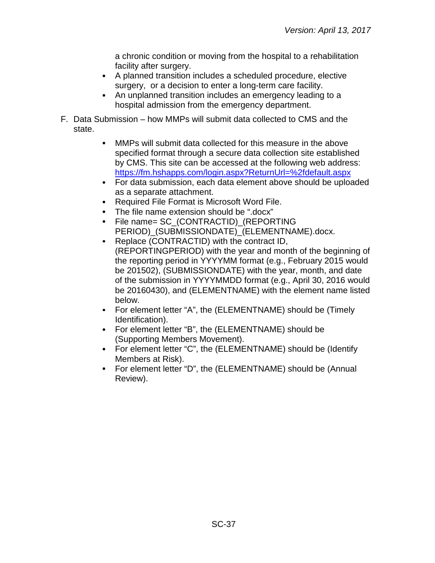a chronic condition or moving from the hospital to a rehabilitation facility after surgery.

- A planned transition includes a scheduled procedure, elective surgery, or a decision to enter a long-term care facility.
- An unplanned transition includes an emergency leading to a hospital admission from the emergency department.
- F. Data Submission how MMPs will submit data collected to CMS and the state.
	- MMPs will submit data collected for this measure in the above  $\bullet$ specified format through a secure data collection site established by CMS. This site can be accessed at the following web address: <https://fm.hshapps.com/login.aspx?ReturnUrl=%2fdefault.aspx>
	- For data submission, each data element above should be uploaded  $\bullet$ as a separate attachment.
	- Required File Format is Microsoft Word File.  $\bullet$
	- The file name extension should be ".docx"  $\bullet$
	- File name= SC\_(CONTRACTID)\_(REPORTING  $\bullet$ PERIOD)\_(SUBMISSIONDATE)\_(ELEMENTNAME).docx.
	- Replace (CONTRACTID) with the contract ID,  $\bullet$ (REPORTINGPERIOD) with the year and month of the beginning of the reporting period in YYYYMM format (e.g., February 2015 would be 201502), (SUBMISSIONDATE) with the year, month, and date of the submission in YYYYMMDD format (e.g., April 30, 2016 would be 20160430), and (ELEMENTNAME) with the element name listed below.
	- $\bullet$ For element letter "A", the (ELEMENTNAME) should be (Timely Identification).
	- For element letter "B", the (ELEMENTNAME) should be  $\bullet$ (Supporting Members Movement).
	- For element letter "C", the (ELEMENTNAME) should be (Identify  $\bullet$ Members at Risk).
	- $\bullet$ For element letter "D", the (ELEMENTNAME) should be (Annual Review).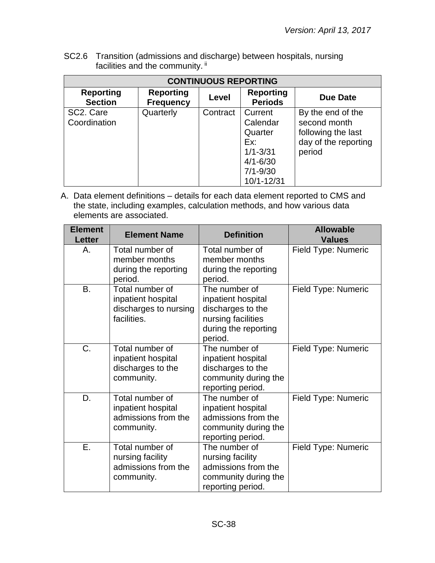SC2.6 Transition (admissions and discharge) between hospitals, nursing facilities and the community. ii

| <b>CONTINUOUS REPORTING</b>        |                                      |          |                                                                                                     |                                                                                           |  |
|------------------------------------|--------------------------------------|----------|-----------------------------------------------------------------------------------------------------|-------------------------------------------------------------------------------------------|--|
| <b>Reporting</b><br><b>Section</b> | <b>Reporting</b><br><b>Frequency</b> | Level    | <b>Reporting</b><br><b>Periods</b>                                                                  | <b>Due Date</b>                                                                           |  |
| SC2. Care<br>Coordination          | Quarterly                            | Contract | Current<br>Calendar<br>Quarter<br>Ex:<br>$1/1 - 3/31$<br>$4/1 - 6/30$<br>$7/1 - 9/30$<br>10/1-12/31 | By the end of the<br>second month<br>following the last<br>day of the reporting<br>period |  |

| <b>Element</b><br><b>Letter</b> | <b>Element Name</b>                                                           | <b>Definition</b>                                                                                                 | <b>Allowable</b><br><b>Values</b> |
|---------------------------------|-------------------------------------------------------------------------------|-------------------------------------------------------------------------------------------------------------------|-----------------------------------|
| Α.                              | Total number of<br>member months<br>during the reporting<br>period.           | Total number of<br>member months<br>during the reporting<br>period.                                               | Field Type: Numeric               |
| <b>B.</b>                       | Total number of<br>inpatient hospital<br>discharges to nursing<br>facilities. | The number of<br>inpatient hospital<br>discharges to the<br>nursing facilities<br>during the reporting<br>period. | Field Type: Numeric               |
| C.                              | Total number of<br>inpatient hospital<br>discharges to the<br>community.      | The number of<br>inpatient hospital<br>discharges to the<br>community during the<br>reporting period.             | Field Type: Numeric               |
| D.                              | Total number of<br>inpatient hospital<br>admissions from the<br>community.    | The number of<br>inpatient hospital<br>admissions from the<br>community during the<br>reporting period.           | Field Type: Numeric               |
| E.                              | Total number of<br>nursing facility<br>admissions from the<br>community.      | The number of<br>nursing facility<br>admissions from the<br>community during the<br>reporting period.             | Field Type: Numeric               |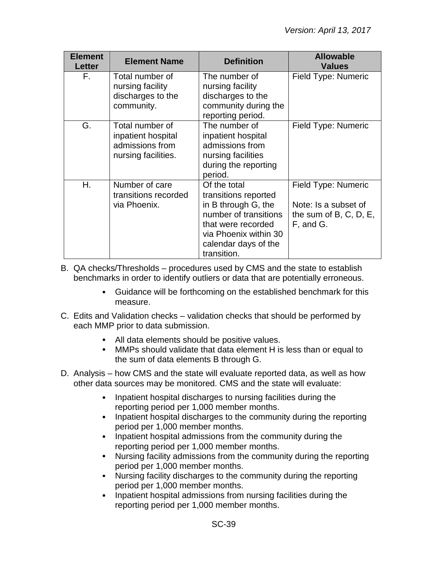| <b>Element</b><br><b>Letter</b> | <b>Element Name</b>                                                             | <b>Definition</b>                                                                                                                                                          | <b>Allowable</b><br><b>Values</b>                                                     |
|---------------------------------|---------------------------------------------------------------------------------|----------------------------------------------------------------------------------------------------------------------------------------------------------------------------|---------------------------------------------------------------------------------------|
| F.                              | Total number of<br>nursing facility<br>discharges to the<br>community.          | The number of<br>nursing facility<br>discharges to the<br>community during the<br>reporting period.                                                                        | Field Type: Numeric                                                                   |
| G.                              | Total number of<br>inpatient hospital<br>admissions from<br>nursing facilities. | The number of<br>inpatient hospital<br>admissions from<br>nursing facilities<br>during the reporting<br>period.                                                            | Field Type: Numeric                                                                   |
| Η.                              | Number of care<br>transitions recorded<br>via Phoenix.                          | Of the total<br>transitions reported<br>in B through G, the<br>number of transitions<br>that were recorded<br>via Phoenix within 30<br>calendar days of the<br>transition. | Field Type: Numeric<br>Note: Is a subset of<br>the sum of $B, C, D, E$ ,<br>F, and G. |

- B. QA checks/Thresholds procedures used by CMS and the state to establish benchmarks in order to identify outliers or data that are potentially erroneous.
	- Guidance will be forthcoming on the established benchmark for this measure.
- C. Edits and Validation checks validation checks that should be performed by each MMP prior to data submission.
	- All data elements should be positive values.
	- MMPs should validate that data element H is less than or equal to the sum of data elements B through G.
- D. Analysis how CMS and the state will evaluate reported data, as well as how other data sources may be monitored. CMS and the state will evaluate:
	- $\bullet$ Inpatient hospital discharges to nursing facilities during the reporting period per 1,000 member months.
	- $\bullet$ Inpatient hospital discharges to the community during the reporting period per 1,000 member months.
	- Inpatient hospital admissions from the community during the  $\bullet$ reporting period per 1,000 member months.
	- Nursing facility admissions from the community during the reporting  $\bullet$ period per 1,000 member months.
	- Nursing facility discharges to the community during the reporting  $\bullet$ period per 1,000 member months.
	- $\bullet$ Inpatient hospital admissions from nursing facilities during the reporting period per 1,000 member months.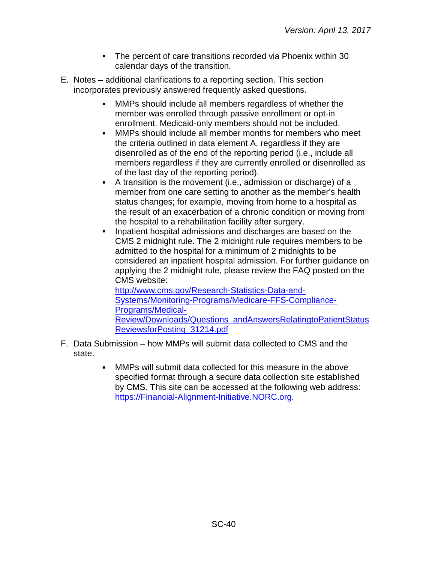- The percent of care transitions recorded via Phoenix within 30 calendar days of the transition.
- E. Notes additional clarifications to a reporting section. This section incorporates previously answered frequently asked questions.
	- MMPs should include all members regardless of whether the member was enrolled through passive enrollment or opt-in enrollment. Medicaid-only members should not be included.
	- MMPs should include all member months for members who meet  $\bullet$ the criteria outlined in data element A, regardless if they are disenrolled as of the end of the reporting period (i.e., include all members regardless if they are currently enrolled or disenrolled as of the last day of the reporting period).
	- $\bullet$  . A transition is the movement (i.e., admission or discharge) of a member from one care setting to another as the member's health status changes; for example, moving from home to a hospital as the result of an exacerbation of a chronic condition or moving from the hospital to a rehabilitation facility after surgery.
	- $\bullet$ Inpatient hospital admissions and discharges are based on the CMS 2 midnight rule. The 2 midnight rule requires members to be admitted to the hospital for a minimum of 2 midnights to be considered an inpatient hospital admission. For further guidance on applying the 2 midnight rule, please review the FAQ posted on the CMS website:

[http://www.cms.gov/Research-Statistics-Data-and-](http://www.cms.gov/Research-Statistics-Data-and-Systems/Monitoring-Programs/Medicare-FFS-Compliance-Programs/Medical-Review/Downloads/Questions_andAnswersRelatingtoPatientStatusReviewsforPosting_31214.pdf)[Systems/Monitoring-Programs/Medicare-FFS-Compliance-](http://www.cms.gov/Research-Statistics-Data-and-Systems/Monitoring-Programs/Medicare-FFS-Compliance-Programs/Medical-Review/Downloads/Questions_andAnswersRelatingtoPatientStatusReviewsforPosting_31214.pdf)[Programs/Medical-](http://www.cms.gov/Research-Statistics-Data-and-Systems/Monitoring-Programs/Medicare-FFS-Compliance-Programs/Medical-Review/Downloads/Questions_andAnswersRelatingtoPatientStatusReviewsforPosting_31214.pdf)[Review/Downloads/Questions\\_andAnswersRelatingtoPatientStatus](http://www.cms.gov/Research-Statistics-Data-and-Systems/Monitoring-Programs/Medicare-FFS-Compliance-Programs/Medical-Review/Downloads/Questions_andAnswersRelatingtoPatientStatusReviewsforPosting_31214.pdf) [ReviewsforPosting\\_31214.pdf](http://www.cms.gov/Research-Statistics-Data-and-Systems/Monitoring-Programs/Medicare-FFS-Compliance-Programs/Medical-Review/Downloads/Questions_andAnswersRelatingtoPatientStatusReviewsforPosting_31214.pdf)

- F. Data Submission how MMPs will submit data collected to CMS and the state.
	- MMPs will submit data collected for this measure in the above specified format through a secure data collection site established by CMS. This site can be accessed at the following web address: [https://Financial-Alignment-Initiative.NORC.org.](https://financial-alignment-initiative.norc.org/)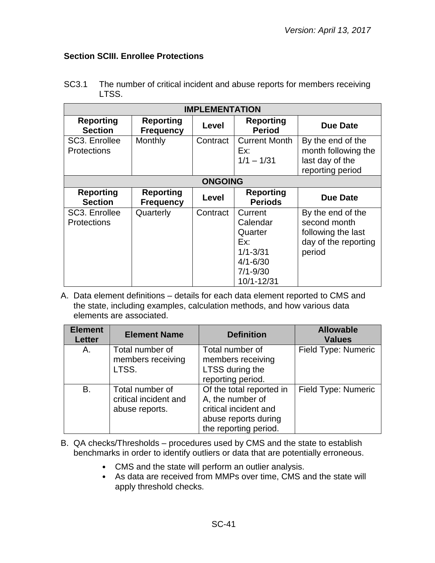# <span id="page-40-0"></span>**Section SCIII. Enrollee Protections**

| LI 00.                              |                                      |                       |                                             |                                                                                 |  |
|-------------------------------------|--------------------------------------|-----------------------|---------------------------------------------|---------------------------------------------------------------------------------|--|
|                                     |                                      | <b>IMPLEMENTATION</b> |                                             |                                                                                 |  |
| <b>Reporting</b><br><b>Section</b>  | <b>Reporting</b><br><b>Frequency</b> | Level                 | <b>Reporting</b><br><b>Period</b>           | <b>Due Date</b>                                                                 |  |
| SC3. Enrollee<br><b>Protections</b> | Monthly                              | Contract              | <b>Current Month</b><br>Ex:<br>$1/1 - 1/31$ | By the end of the<br>month following the<br>last day of the<br>reporting period |  |
| <b>ONGOING</b>                      |                                      |                       |                                             |                                                                                 |  |
| <b>Reporting</b><br><b>Section</b>  | <b>Reporting</b><br><b>Frequency</b> | Level                 | <b>Reporting</b><br><b>Periods</b>          | <b>Due Date</b>                                                                 |  |
| SC <sub>3</sub> . Enrollee          | Quarterly                            | Contract              | Current                                     | By the end of the                                                               |  |

Quarterly  $\Box$  Contract Current  $\Box$  By the end of the

4/1-6/30 7/1-9/30 10/1-12/31

Quarter | following the last Ex: | day of the reporting

1/1-3/31 period

SC3.1 The number of critical incident and abuse reports for members receiving LTCC.

A. Data element definitions – details for each data element reported to CMS and the state, including examples, calculation methods, and how various data elements are associated.

Protections | | | | | | | | Calendar | second month

| <b>Element</b><br><b>Letter</b> | <b>Element Name</b>                                        | <b>Definition</b>                                                                                                      | <b>Allowable</b><br><b>Values</b> |
|---------------------------------|------------------------------------------------------------|------------------------------------------------------------------------------------------------------------------------|-----------------------------------|
| Α.                              | Total number of<br>members receiving<br>LTSS.              | Total number of<br>members receiving<br>LTSS during the<br>reporting period.                                           | Field Type: Numeric               |
| <b>B.</b>                       | Total number of<br>critical incident and<br>abuse reports. | Of the total reported in<br>A, the number of<br>critical incident and<br>abuse reports during<br>the reporting period. | Field Type: Numeric               |

- B. QA checks/Thresholds procedures used by CMS and the state to establish benchmarks in order to identify outliers or data that are potentially erroneous.
	- CMS and the state will perform an outlier analysis.  $\bullet$
	- As data are received from MMPs over time, CMS and the state will  $\bullet$ apply threshold checks.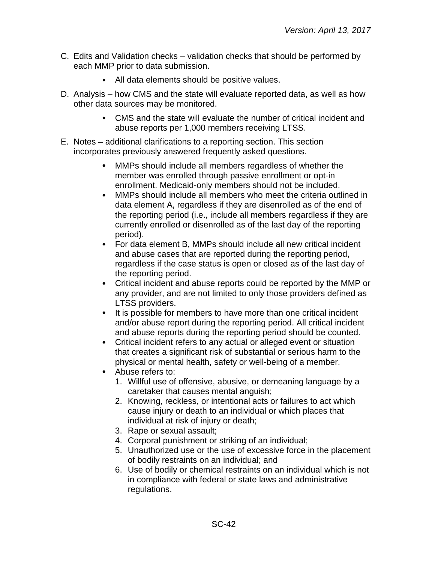- C. Edits and Validation checks validation checks that should be performed by each MMP prior to data submission.
	- $\bullet$ All data elements should be positive values.
- D. Analysis how CMS and the state will evaluate reported data, as well as how other data sources may be monitored.
	- $\bullet$ CMS and the state will evaluate the number of critical incident and abuse reports per 1,000 members receiving LTSS.
- E. Notes additional clarifications to a reporting section. This section incorporates previously answered frequently asked questions.
	- $\bullet$ MMPs should include all members regardless of whether the member was enrolled through passive enrollment or opt-in enrollment. Medicaid-only members should not be included.
	- $\bullet$ MMPs should include all members who meet the criteria outlined in data element A, regardless if they are disenrolled as of the end of the reporting period (i.e., include all members regardless if they are currently enrolled or disenrolled as of the last day of the reporting period).
	- For data element B, MMPs should include all new critical incident and abuse cases that are reported during the reporting period, regardless if the case status is open or closed as of the last day of the reporting period.
	- $\bullet$ Critical incident and abuse reports could be reported by the MMP or any provider, and are not limited to only those providers defined as LTSS providers.
	- $\bullet$ It is possible for members to have more than one critical incident and/or abuse report during the reporting period. All critical incident and abuse reports during the reporting period should be counted.
	- $\bullet$ Critical incident refers to any actual or alleged event or situation that creates a significant risk of substantial or serious harm to the physical or mental health, safety or well-being of a member.
	- Abuse refers to:
		- 1. Willful use of offensive, abusive, or demeaning language by a caretaker that causes mental anguish;
		- 2. Knowing, reckless, or intentional acts or failures to act which cause injury or death to an individual or which places that individual at risk of injury or death;
		- 3. Rape or sexual assault;
		- 4. Corporal punishment or striking of an individual;
		- 5. Unauthorized use or the use of excessive force in the placement of bodily restraints on an individual; and
		- 6. Use of bodily or chemical restraints on an individual which is not in compliance with federal or state laws and administrative regulations.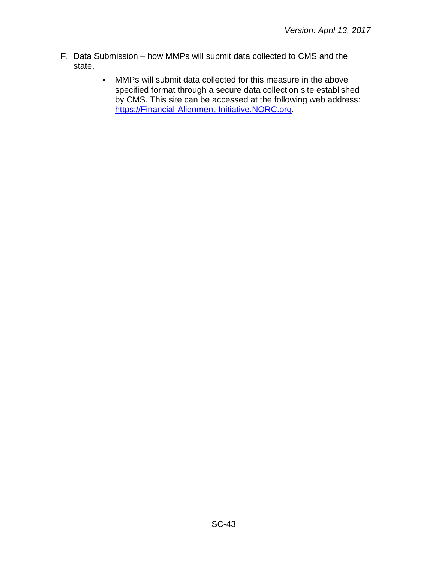- F. Data Submission how MMPs will submit data collected to CMS and the state.
	- $\bullet$ MMPs will submit data collected for this measure in the above specified format through a secure data collection site established by CMS. This site can be accessed at the following web address: [https://Financial-Alignment-Initiative.NORC.org.](https://financial-alignment-initiative.norc.org/)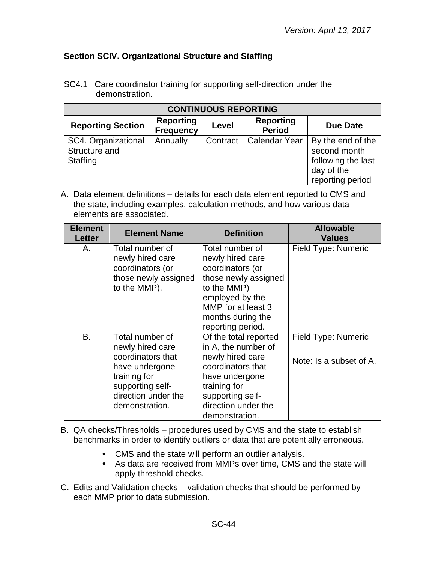# <span id="page-43-0"></span>**Section SCIV. Organizational Structure and Staffing**

| <b>CONTINUOUS REPORTING</b>                      |                                      |          |                                   |                                                                                           |  |
|--------------------------------------------------|--------------------------------------|----------|-----------------------------------|-------------------------------------------------------------------------------------------|--|
| <b>Reporting Section</b>                         | <b>Reporting</b><br><b>Frequency</b> | Level    | <b>Reporting</b><br><b>Period</b> | <b>Due Date</b>                                                                           |  |
| SC4. Organizational<br>Structure and<br>Staffing | Annually                             | Contract | Calendar Year                     | By the end of the<br>second month<br>following the last<br>day of the<br>reporting period |  |

SC4.1 Care coordinator training for supporting self-direction under the demonstration.

| <b>Element</b><br><b>Letter</b> | <b>Element Name</b>                                                                                                                                     | <b>Definition</b>                                                                                                                                                                    | <b>Allowable</b><br><b>Values</b>              |
|---------------------------------|---------------------------------------------------------------------------------------------------------------------------------------------------------|--------------------------------------------------------------------------------------------------------------------------------------------------------------------------------------|------------------------------------------------|
| Α.                              | Total number of<br>newly hired care<br>coordinators (or<br>those newly assigned<br>to the MMP).                                                         | Total number of<br>newly hired care<br>coordinators (or<br>those newly assigned<br>to the MMP)<br>employed by the<br>MMP for at least 3<br>months during the<br>reporting period.    | Field Type: Numeric                            |
| <b>B.</b>                       | Total number of<br>newly hired care<br>coordinators that<br>have undergone<br>training for<br>supporting self-<br>direction under the<br>demonstration. | Of the total reported<br>in A, the number of<br>newly hired care<br>coordinators that<br>have undergone<br>training for<br>supporting self-<br>direction under the<br>demonstration. | Field Type: Numeric<br>Note: Is a subset of A. |

- B. QA checks/Thresholds procedures used by CMS and the state to establish benchmarks in order to identify outliers or data that are potentially erroneous.
	- CMS and the state will perform an outlier analysis.
	- As data are received from MMPs over time, CMS and the state will apply threshold checks.
- C. Edits and Validation checks validation checks that should be performed by each MMP prior to data submission.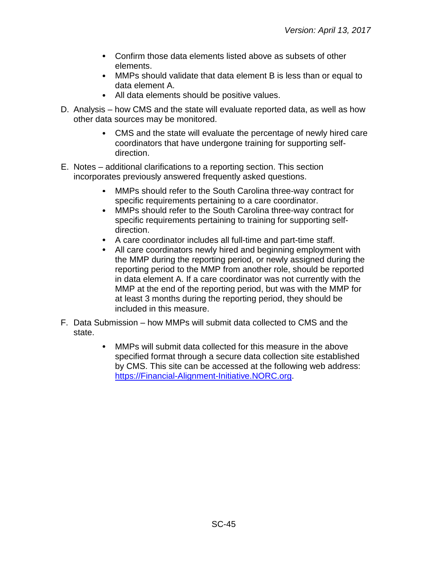- Confirm those data elements listed above as subsets of other elements.
- MMPs should validate that data element B is less than or equal to data element A.
- All data elements should be positive values.
- D. Analysis how CMS and the state will evaluate reported data, as well as how other data sources may be monitored.
	- CMS and the state will evaluate the percentage of newly hired care coordinators that have undergone training for supporting selfdirection.
- E. Notes additional clarifications to a reporting section. This section incorporates previously answered frequently asked questions.
	- MMPs should refer to the South Carolina three-way contract for specific requirements pertaining to a care coordinator.
	- $\bullet$ MMPs should refer to the South Carolina three-way contract for specific requirements pertaining to training for supporting selfdirection.
	- A care coordinator includes all full-time and part-time staff.
	- All care coordinators newly hired and beginning employment with the MMP during the reporting period, or newly assigned during the reporting period to the MMP from another role, should be reported in data element A. If a care coordinator was not currently with the MMP at the end of the reporting period, but was with the MMP for at least 3 months during the reporting period, they should be included in this measure.
- F. Data Submission how MMPs will submit data collected to CMS and the state.
	- MMPs will submit data collected for this measure in the above  $\bullet$ specified format through a secure data collection site established by CMS. This site can be accessed at the following web address: [https://Financial-Alignment-Initiative.NORC.org.](https://financial-alignment-initiative.norc.org/)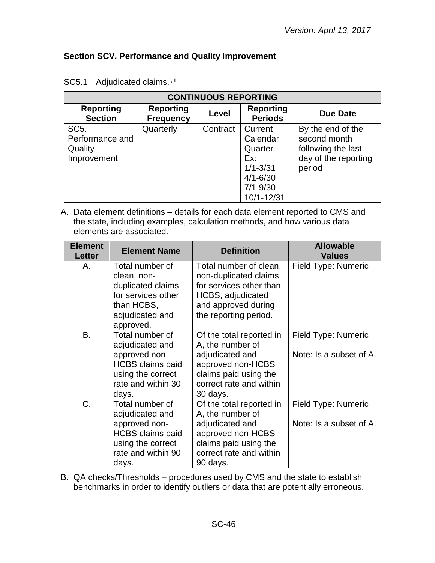# <span id="page-45-0"></span>**Section SCV. Performance and Quality Improvement**

| <b>CONTINUOUS REPORTING</b>        |                                      |          |                                    |                      |  |  |
|------------------------------------|--------------------------------------|----------|------------------------------------|----------------------|--|--|
| <b>Reporting</b><br><b>Section</b> | <b>Reporting</b><br><b>Frequency</b> | Level    | <b>Reporting</b><br><b>Periods</b> | Due Date             |  |  |
| SC <sub>5</sub> .                  | Quarterly                            | Contract | Current                            | By the end of the    |  |  |
| Performance and                    |                                      |          | Calendar                           | second month         |  |  |
| Quality                            |                                      |          | Quarter                            | following the last   |  |  |
| Improvement                        |                                      |          | Ex:                                | day of the reporting |  |  |
|                                    |                                      |          | $1/1 - 3/31$                       | period               |  |  |
|                                    |                                      |          | $4/1 - 6/30$                       |                      |  |  |
|                                    |                                      |          | $7/1 - 9/30$                       |                      |  |  |
|                                    |                                      |          | 10/1-12/31                         |                      |  |  |

# SC5.1 Adjudicated claims.<sup>i, ii</sup>

A. Data element definitions – details for each data element reported to CMS and the state, including examples, calculation methods, and how various data elements are associated.

| <b>Element</b><br>Letter | <b>Element Name</b>                                                                                                                | <b>Definition</b>                                                                                                                                    | <b>Allowable</b><br><b>Values</b>              |
|--------------------------|------------------------------------------------------------------------------------------------------------------------------------|------------------------------------------------------------------------------------------------------------------------------------------------------|------------------------------------------------|
| Α.                       | Total number of<br>clean, non-<br>duplicated claims<br>for services other<br>than HCBS,<br>adjudicated and<br>approved.            | Total number of clean,<br>non-duplicated claims<br>for services other than<br>HCBS, adjudicated<br>and approved during<br>the reporting period.      | <b>Field Type: Numeric</b>                     |
| <b>B.</b>                | Total number of<br>adjudicated and<br>approved non-<br><b>HCBS</b> claims paid<br>using the correct<br>rate and within 30<br>days. | Of the total reported in<br>A, the number of<br>adjudicated and<br>approved non-HCBS<br>claims paid using the<br>correct rate and within<br>30 days. | Field Type: Numeric<br>Note: Is a subset of A. |
| $C_{\cdot}$              | Total number of<br>adjudicated and<br>approved non-<br><b>HCBS</b> claims paid<br>using the correct<br>rate and within 90<br>days. | Of the total reported in<br>A, the number of<br>adjudicated and<br>approved non-HCBS<br>claims paid using the<br>correct rate and within<br>90 days. | Field Type: Numeric<br>Note: Is a subset of A. |

B. QA checks/Thresholds – procedures used by CMS and the state to establish benchmarks in order to identify outliers or data that are potentially erroneous.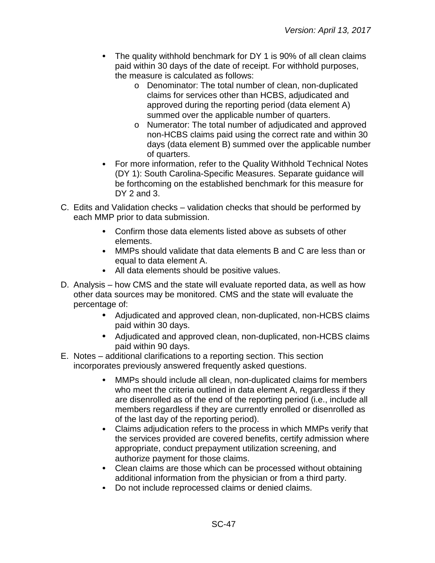- The quality withhold benchmark for DY 1 is 90% of all clean claims  $\bullet$ paid within 30 days of the date of receipt. For withhold purposes, the measure is calculated as follows:
	- o Denominator: The total number of clean, non-duplicated claims for services other than HCBS, adjudicated and approved during the reporting period (data element A) summed over the applicable number of quarters.
	- o Numerator: The total number of adjudicated and approved non-HCBS claims paid using the correct rate and within 30 days (data element B) summed over the applicable number of quarters.
- For more information, refer to the Quality Withhold Technical Notes  $\bullet$ (DY 1): South Carolina-Specific Measures. Separate guidance will be forthcoming on the established benchmark for this measure for DY 2 and  $3<sub>1</sub>$
- C. Edits and Validation checks validation checks that should be performed by each MMP prior to data submission.
	- Confirm those data elements listed above as subsets of other elements.
	- MMPs should validate that data elements B and C are less than or equal to data element A.
	- All data elements should be positive values.
- D. Analysis how CMS and the state will evaluate reported data, as well as how other data sources may be monitored. CMS and the state will evaluate the percentage of:
	- Adjudicated and approved clean, non-duplicated, non-HCBS claims paid within 30 days.
	- Adjudicated and approved clean, non-duplicated, non-HCBS claims paid within 90 days.
- E. Notes additional clarifications to a reporting section. This section incorporates previously answered frequently asked questions.
	- MMPs should include all clean, non-duplicated claims for members who meet the criteria outlined in data element A, regardless if they are disenrolled as of the end of the reporting period (i.e., include all members regardless if they are currently enrolled or disenrolled as of the last day of the reporting period).
	- $\bullet$ Claims adjudication refers to the process in which MMPs verify that the services provided are covered benefits, certify admission where appropriate, conduct prepayment utilization screening, and authorize payment for those claims.
	- Clean claims are those which can be processed without obtaining additional information from the physician or from a third party.
	- Do not include reprocessed claims or denied claims.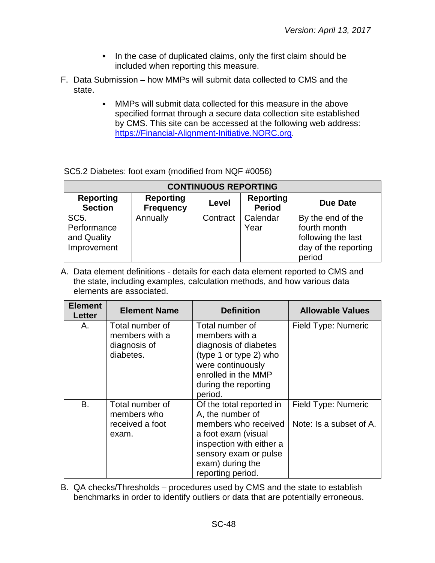- In the case of duplicated claims, only the first claim should be included when reporting this measure.
- F. Data Submission how MMPs will submit data collected to CMS and the state.
	- MMPs will submit data collected for this measure in the above  $\bullet$ specified format through a secure data collection site established by CMS. This site can be accessed at the following web address: [https://Financial-Alignment-Initiative.NORC.org.](https://financial-alignment-initiative.norc.org/)

SC5.2 Diabetes: foot exam (modified from NQF #0056)

| <b>CONTINUOUS REPORTING</b>                                    |                                      |          |                                   |                                                                                           |
|----------------------------------------------------------------|--------------------------------------|----------|-----------------------------------|-------------------------------------------------------------------------------------------|
| <b>Reporting</b><br><b>Section</b>                             | <b>Reporting</b><br><b>Frequency</b> | Level    | <b>Reporting</b><br><b>Period</b> | <b>Due Date</b>                                                                           |
| SC <sub>5</sub> .<br>Performance<br>and Quality<br>Improvement | Annually                             | Contract | Calendar<br>Year                  | By the end of the<br>fourth month<br>following the last<br>day of the reporting<br>period |

A. Data element definitions - details for each data element reported to CMS and the state, including examples, calculation methods, and how various data elements are associated.

| <b>Element</b><br>Letter | <b>Element Name</b>                                            | <b>Definition</b>                                                                                                                                                                         | <b>Allowable Values</b>                        |
|--------------------------|----------------------------------------------------------------|-------------------------------------------------------------------------------------------------------------------------------------------------------------------------------------------|------------------------------------------------|
| Α.                       | Total number of<br>members with a<br>diagnosis of<br>diabetes. | Total number of<br>members with a<br>diagnosis of diabetes<br>(type 1 or type 2) who<br>were continuously<br>enrolled in the MMP<br>during the reporting<br>period.                       | Field Type: Numeric                            |
| В.                       | Total number of<br>members who<br>received a foot<br>exam.     | Of the total reported in<br>A, the number of<br>members who received<br>a foot exam (visual<br>inspection with either a<br>sensory exam or pulse<br>exam) during the<br>reporting period. | Field Type: Numeric<br>Note: Is a subset of A. |

B. QA checks/Thresholds – procedures used by CMS and the state to establish benchmarks in order to identify outliers or data that are potentially erroneous.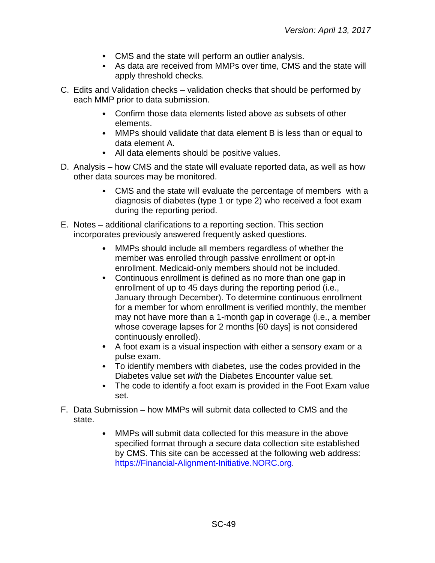- CMS and the state will perform an outlier analysis.
- As data are received from MMPs over time, CMS and the state will apply threshold checks.
- C. Edits and Validation checks validation checks that should be performed by each MMP prior to data submission.
	- Confirm those data elements listed above as subsets of other elements.
	- MMPs should validate that data element B is less than or equal to data element A.
	- All data elements should be positive values.
- D. Analysis how CMS and the state will evaluate reported data, as well as how other data sources may be monitored.
	- CMS and the state will evaluate the percentage of members with a diagnosis of diabetes (type 1 or type 2) who received a foot exam during the reporting period.
- E. Notes additional clarifications to a reporting section. This section incorporates previously answered frequently asked questions.
	- MMPs should include all members regardless of whether the  $\bullet$ member was enrolled through passive enrollment or opt-in enrollment. Medicaid-only members should not be included.
	- $\bullet$ Continuous enrollment is defined as no more than one gap in enrollment of up to 45 days during the reporting period (i.e., January through December). To determine continuous enrollment for a member for whom enrollment is verified monthly, the member may not have more than a 1-month gap in coverage (i.e., a member whose coverage lapses for 2 months [60 days] is not considered continuously enrolled).
	- A foot exam is a visual inspection with either a sensory exam or a pulse exam.
	- To identify members with diabetes, use the codes provided in the Diabetes value set *with* the Diabetes Encounter value set.
	- $\bullet$ The code to identify a foot exam is provided in the Foot Exam value set.
- F. Data Submission how MMPs will submit data collected to CMS and the state.
	- MMPs will submit data collected for this measure in the above  $\bullet$ specified format through a secure data collection site established by CMS. This site can be accessed at the following web address: [https://Financial-Alignment-Initiative.NORC.org.](https://financial-alignment-initiative.norc.org/)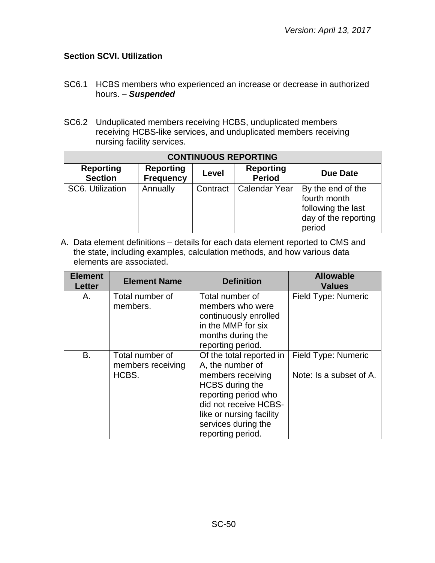# <span id="page-49-0"></span>**Section SCVI. Utilization**

- SC6.1 HCBS members who experienced an increase or decrease in authorized hours. – *Suspended*
- SC6.2 Unduplicated members receiving HCBS, unduplicated members receiving HCBS-like services, and unduplicated members receiving nursing facility services.

| <b>CONTINUOUS REPORTING</b>        |                                      |          |                                   |                                                                                           |
|------------------------------------|--------------------------------------|----------|-----------------------------------|-------------------------------------------------------------------------------------------|
| <b>Reporting</b><br><b>Section</b> | <b>Reporting</b><br><b>Frequency</b> | Level    | <b>Reporting</b><br><b>Period</b> | <b>Due Date</b>                                                                           |
| SC6. Utilization                   | Annually                             | Contract | <b>Calendar Year</b>              | By the end of the<br>fourth month<br>following the last<br>day of the reporting<br>period |

| <b>Element</b><br><b>Letter</b> | <b>Element Name</b>                           | <b>Definition</b>                                                                                                                                                                                             | <b>Allowable</b><br><b>Values</b>              |
|---------------------------------|-----------------------------------------------|---------------------------------------------------------------------------------------------------------------------------------------------------------------------------------------------------------------|------------------------------------------------|
| Α.                              | Total number of<br>members.                   | Total number of<br>members who were<br>continuously enrolled<br>in the MMP for six<br>months during the<br>reporting period.                                                                                  | Field Type: Numeric                            |
| B.                              | Total number of<br>members receiving<br>HCBS. | Of the total reported in<br>A, the number of<br>members receiving<br>HCBS during the<br>reporting period who<br>did not receive HCBS-<br>like or nursing facility<br>services during the<br>reporting period. | Field Type: Numeric<br>Note: Is a subset of A. |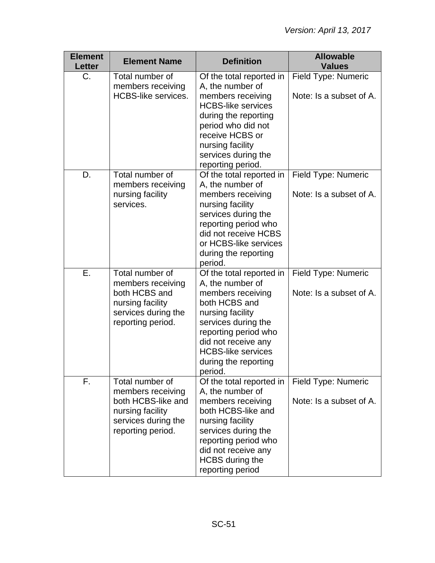| <b>Element</b><br><b>Letter</b> | <b>Element Name</b>                                                                                                        | <b>Definition</b>                                                                                                                                                                                                                            | <b>Allowable</b><br><b>Values</b>              |
|---------------------------------|----------------------------------------------------------------------------------------------------------------------------|----------------------------------------------------------------------------------------------------------------------------------------------------------------------------------------------------------------------------------------------|------------------------------------------------|
| C.                              | Total number of<br>members receiving<br><b>HCBS-like services.</b>                                                         | Of the total reported in<br>A, the number of<br>members receiving<br><b>HCBS-like services</b><br>during the reporting<br>period who did not<br>receive HCBS or<br>nursing facility<br>services during the<br>reporting period.              | Field Type: Numeric<br>Note: Is a subset of A. |
| D.                              | Total number of<br>members receiving<br>nursing facility<br>services.                                                      | Of the total reported in<br>A, the number of<br>members receiving<br>nursing facility<br>services during the<br>reporting period who<br>did not receive HCBS<br>or HCBS-like services<br>during the reporting<br>period.                     | Field Type: Numeric<br>Note: Is a subset of A. |
| Ε.                              | Total number of<br>members receiving<br>both HCBS and<br>nursing facility<br>services during the<br>reporting period.      | Of the total reported in<br>A, the number of<br>members receiving<br>both HCBS and<br>nursing facility<br>services during the<br>reporting period who<br>did not receive any<br><b>HCBS-like services</b><br>during the reporting<br>period. | Field Type: Numeric<br>Note: Is a subset of A. |
| F.                              | Total number of<br>members receiving<br>both HCBS-like and<br>nursing facility<br>services during the<br>reporting period. | Of the total reported in<br>A, the number of<br>members receiving<br>both HCBS-like and<br>nursing facility<br>services during the<br>reporting period who<br>did not receive any<br><b>HCBS</b> during the<br>reporting period              | Field Type: Numeric<br>Note: Is a subset of A. |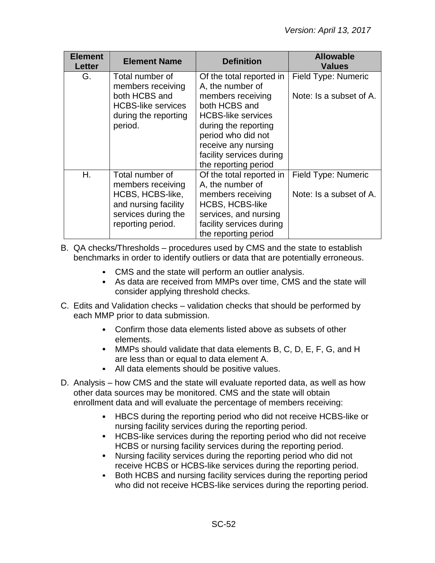| <b>Element</b><br><b>Letter</b> | <b>Element Name</b>                                                                                                          | <b>Definition</b>                                                                                                                                                                                                | <b>Allowable</b><br><b>Values</b>                     |
|---------------------------------|------------------------------------------------------------------------------------------------------------------------------|------------------------------------------------------------------------------------------------------------------------------------------------------------------------------------------------------------------|-------------------------------------------------------|
| G.                              | Total number of<br>members receiving<br>both HCBS and<br><b>HCBS-like services</b><br>during the reporting<br>period.        | Of the total reported in<br>A, the number of<br>members receiving<br>both HCBS and<br><b>HCBS-like services</b><br>during the reporting<br>period who did not<br>receive any nursing<br>facility services during | <b>Field Type: Numeric</b><br>Note: Is a subset of A. |
|                                 |                                                                                                                              | the reporting period                                                                                                                                                                                             |                                                       |
| Η.                              | Total number of<br>members receiving<br>HCBS, HCBS-like,<br>and nursing facility<br>services during the<br>reporting period. | Of the total reported in<br>A, the number of<br>members receiving<br>HCBS, HCBS-like<br>services, and nursing<br>facility services during<br>the reporting period                                                | Field Type: Numeric<br>Note: Is a subset of A.        |

B. QA checks/Thresholds – procedures used by CMS and the state to establish benchmarks in order to identify outliers or data that are potentially erroneous.

- CMS and the state will perform an outlier analysis.
- As data are received from MMPs over time, CMS and the state will consider applying threshold checks.
- C. Edits and Validation checks validation checks that should be performed by each MMP prior to data submission.
	- Confirm those data elements listed above as subsets of other elements.
	- MMPs should validate that data elements B, C, D, E, F, G, and H are less than or equal to data element A.
	- All data elements should be positive values.
- D. Analysis how CMS and the state will evaluate reported data, as well as how other data sources may be monitored. CMS and the state will obtain enrollment data and will evaluate the percentage of members receiving:
	- HBCS during the reporting period who did not receive HCBS-like or nursing facility services during the reporting period.
	- HCBS-like services during the reporting period who did not receive  $\bullet$ HCBS or nursing facility services during the reporting period.
	- Nursing facility services during the reporting period who did not  $\bullet$ receive HCBS or HCBS-like services during the reporting period.
	- Both HCBS and nursing facility services during the reporting period  $\bullet$ who did not receive HCBS-like services during the reporting period.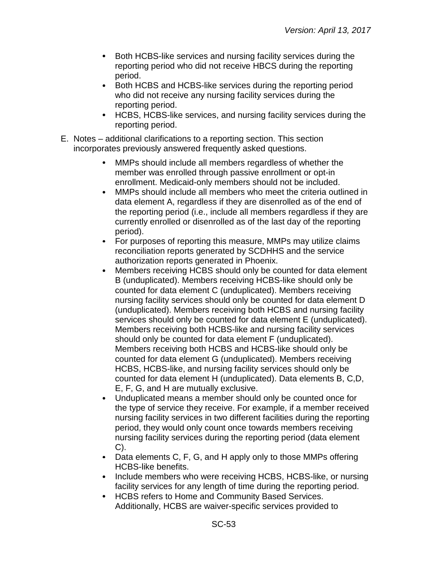- $\bullet$ Both HCBS-like services and nursing facility services during the reporting period who did not receive HBCS during the reporting period.
- $\bullet$ Both HCBS and HCBS-like services during the reporting period who did not receive any nursing facility services during the reporting period.
- HCBS, HCBS-like services, and nursing facility services during the  $\bullet$ reporting period.
- E. Notes additional clarifications to a reporting section. This section incorporates previously answered frequently asked questions.
	- MMPs should include all members regardless of whether the member was enrolled through passive enrollment or opt-in enrollment. Medicaid-only members should not be included.
	- $\bullet$ MMPs should include all members who meet the criteria outlined in data element A, regardless if they are disenrolled as of the end of the reporting period (i.e., include all members regardless if they are currently enrolled or disenrolled as of the last day of the reporting period).
	- $\bullet$ For purposes of reporting this measure, MMPs may utilize claims reconciliation reports generated by SCDHHS and the service authorization reports generated in Phoenix.
	- Members receiving HCBS should only be counted for data element B (unduplicated). Members receiving HCBS-like should only be counted for data element C (unduplicated). Members receiving nursing facility services should only be counted for data element D (unduplicated). Members receiving both HCBS and nursing facility services should only be counted for data element E (unduplicated). Members receiving both HCBS-like and nursing facility services should only be counted for data element F (unduplicated). Members receiving both HCBS and HCBS-like should only be counted for data element G (unduplicated). Members receiving HCBS, HCBS-like, and nursing facility services should only be counted for data element H (unduplicated). Data elements B, C,D, E, F, G, and H are mutually exclusive.
	- Unduplicated means a member should only be counted once for the type of service they receive. For example, if a member received nursing facility services in two different facilities during the reporting period, they would only count once towards members receiving nursing facility services during the reporting period (data element C).
	- Data elements C, F, G, and H apply only to those MMPs offering HCBS-like benefits.
	- $\bullet$ Include members who were receiving HCBS, HCBS-like, or nursing facility services for any length of time during the reporting period.
	- $\bullet$ HCBS refers to Home and Community Based Services. Additionally, HCBS are waiver-specific services provided to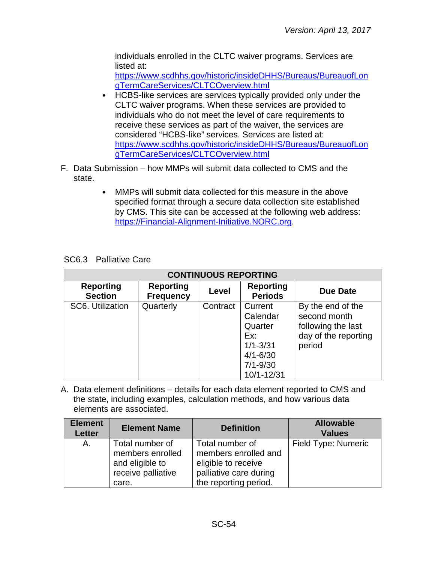individuals enrolled in the CLTC waiver programs. Services are listed at:

[https://www.scdhhs.gov/historic/insideDHHS/Bureaus/BureauofLon](https://www.scdhhs.gov/historic/insideDHHS/Bureaus/BureauofLongTermCareServices/CLTCOverview.html) [gTermCareServices/CLTCOverview.html](https://www.scdhhs.gov/historic/insideDHHS/Bureaus/BureauofLongTermCareServices/CLTCOverview.html) 

- HCBS-like services are services typically provided only under the CLTC waiver programs. When these services are provided to individuals who do not meet the level of care requirements to receive these services as part of the waiver, the services are considered "HCBS-like" services. Services are listed at: [https://www.scdhhs.gov/historic/insideDHHS/Bureaus/BureauofLon](https://www.scdhhs.gov/historic/insideDHHS/Bureaus/BureauofLongTermCareServices/CLTCOverview.html) [gTermCareServices/CLTCOverview.html](https://www.scdhhs.gov/historic/insideDHHS/Bureaus/BureauofLongTermCareServices/CLTCOverview.html)
- F. Data Submission how MMPs will submit data collected to CMS and the state.
	- MMPs will submit data collected for this measure in the above  $\bullet$ specified format through a secure data collection site established by CMS. This site can be accessed at the following web address: [https://Financial-Alignment-Initiative.NORC.org.](https://financial-alignment-initiative.norc.org/)

| <b>CONTINUOUS REPORTING</b>        |                                      |          |                                                                                                     |                                                                                           |  |
|------------------------------------|--------------------------------------|----------|-----------------------------------------------------------------------------------------------------|-------------------------------------------------------------------------------------------|--|
| <b>Reporting</b><br><b>Section</b> | <b>Reporting</b><br><b>Frequency</b> | Level    | <b>Reporting</b><br><b>Periods</b>                                                                  | <b>Due Date</b>                                                                           |  |
| SC6. Utilization                   | Quarterly                            | Contract | Current<br>Calendar<br>Quarter<br>Ex:<br>$1/1 - 3/31$<br>$4/1 - 6/30$<br>$7/1 - 9/30$<br>10/1-12/31 | By the end of the<br>second month<br>following the last<br>day of the reporting<br>period |  |

SC6.3 Palliative Care

| <b>Element</b><br><b>Letter</b> | <b>Element Name</b>                                                                   | <b>Definition</b>                                                                                                 | <b>Allowable</b><br><b>Values</b> |
|---------------------------------|---------------------------------------------------------------------------------------|-------------------------------------------------------------------------------------------------------------------|-----------------------------------|
| A.                              | Total number of<br>members enrolled<br>and eligible to<br>receive palliative<br>care. | Total number of<br>members enrolled and<br>eligible to receive<br>palliative care during<br>the reporting period. | Field Type: Numeric               |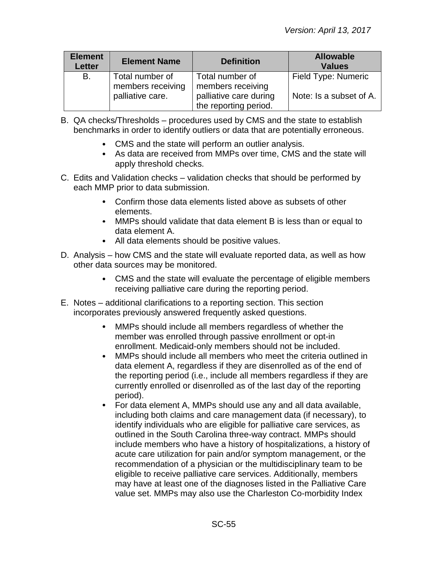| <b>Element</b><br><b>Letter</b> | <b>Element Name</b>                  | <b>Definition</b>                               | <b>Allowable</b><br><b>Values</b> |
|---------------------------------|--------------------------------------|-------------------------------------------------|-----------------------------------|
| В.                              | Total number of<br>members receiving | Total number of<br>members receiving            | Field Type: Numeric               |
|                                 | palliative care.                     | palliative care during<br>the reporting period. | Note: Is a subset of A.           |

- B. QA checks/Thresholds procedures used by CMS and the state to establish benchmarks in order to identify outliers or data that are potentially erroneous.
	- CMS and the state will perform an outlier analysis.
	- As data are received from MMPs over time, CMS and the state will apply threshold checks.
- C. Edits and Validation checks validation checks that should be performed by each MMP prior to data submission.
	- Confirm those data elements listed above as subsets of other elements.
	- MMPs should validate that data element B is less than or equal to data element A.
	- All data elements should be positive values.
- D. Analysis how CMS and the state will evaluate reported data, as well as how other data sources may be monitored.
	- CMS and the state will evaluate the percentage of eligible members receiving palliative care during the reporting period.
- E. Notes additional clarifications to a reporting section. This section incorporates previously answered frequently asked questions.
	- MMPs should include all members regardless of whether the member was enrolled through passive enrollment or opt-in enrollment. Medicaid-only members should not be included.
	- $\bullet$ MMPs should include all members who meet the criteria outlined in data element A, regardless if they are disenrolled as of the end of the reporting period (i.e., include all members regardless if they are currently enrolled or disenrolled as of the last day of the reporting period).
	- For data element A, MMPs should use any and all data available, including both claims and care management data (if necessary), to identify individuals who are eligible for palliative care services, as outlined in the South Carolina three-way contract. MMPs should include members who have a history of hospitalizations, a history of acute care utilization for pain and/or symptom management, or the recommendation of a physician or the multidisciplinary team to be eligible to receive palliative care services. Additionally, members may have at least one of the diagnoses listed in the Palliative Care value set. MMPs may also use the Charleston Co-morbidity Index